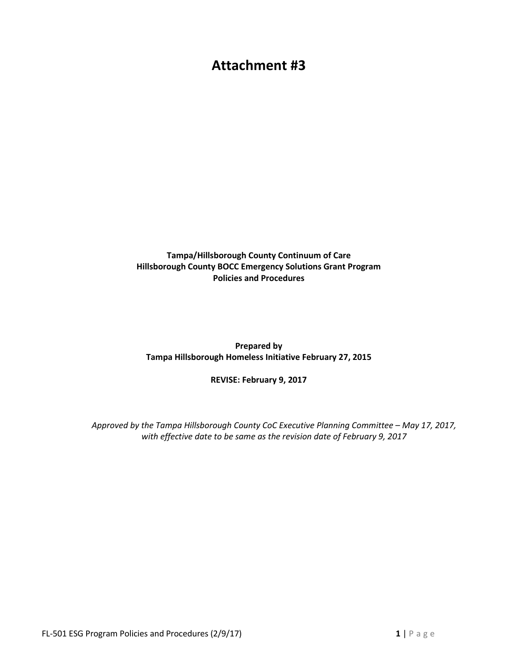## **Attachment #3**

**Tampa/Hillsborough County Continuum of Care Hillsborough County BOCC Emergency Solutions Grant Program Policies and Procedures** 

**Prepared by Tampa Hillsborough Homeless Initiative February 27, 2015** 

**REVISE: February 9, 2017** 

*Approved by the Tampa Hillsborough County CoC Executive Planning Committee – May 17, 2017, with effective date to be same as the revision date of February 9, 2017*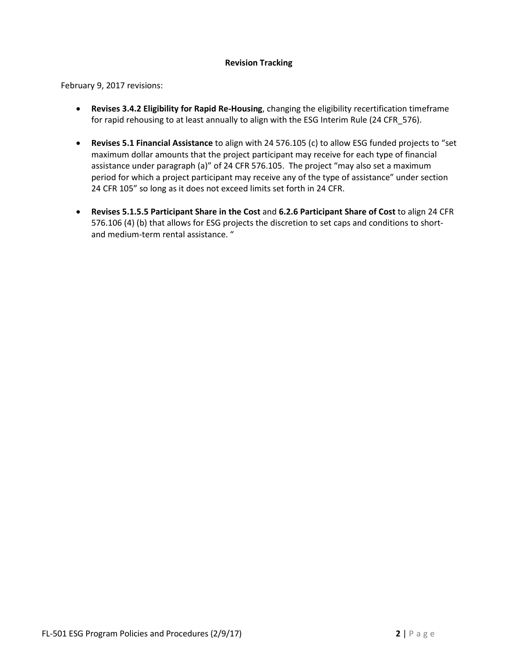#### **Revision Tracking**

February 9, 2017 revisions:

- **Revises 3.4.2 Eligibility for Rapid Re-Housing**, changing the eligibility recertification timeframe for rapid rehousing to at least annually to align with the ESG Interim Rule (24 CFR\_576).
- **Revises 5.1 Financial Assistance** to align with 24 576.105 (c) to allow ESG funded projects to "set maximum dollar amounts that the project participant may receive for each type of financial assistance under paragraph (a)" of 24 CFR 576.105. The project "may also set a maximum period for which a project participant may receive any of the type of assistance" under section 24 CFR 105" so long as it does not exceed limits set forth in 24 CFR.
- **Revises 5.1.5.5 Participant Share in the Cost** and **6.2.6 Participant Share of Cost** to align 24 CFR 576.106 (4) (b) that allows for ESG projects the discretion to set caps and conditions to shortand medium-term rental assistance. "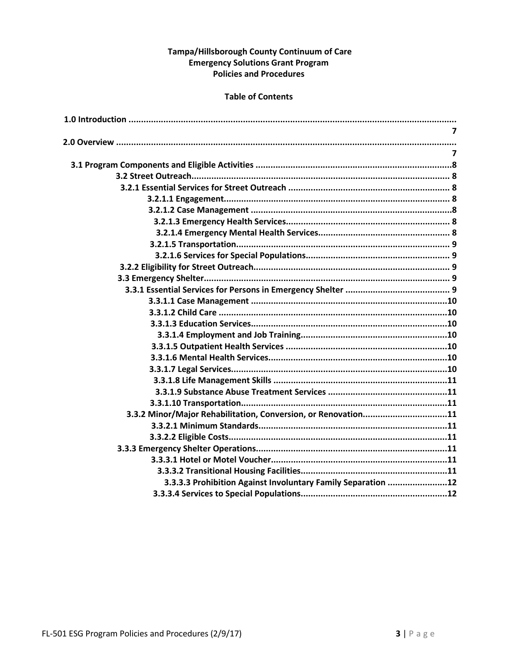#### Tampa/Hillsborough County Continuum of Care **Emergency Solutions Grant Program Policies and Procedures**

#### **Table of Contents**

| $\overline{7}$                                                |
|---------------------------------------------------------------|
|                                                               |
| $\overline{7}$                                                |
|                                                               |
|                                                               |
|                                                               |
|                                                               |
|                                                               |
|                                                               |
|                                                               |
|                                                               |
|                                                               |
|                                                               |
|                                                               |
|                                                               |
|                                                               |
|                                                               |
|                                                               |
|                                                               |
|                                                               |
|                                                               |
|                                                               |
|                                                               |
|                                                               |
|                                                               |
| 3.3.2 Minor/Major Rehabilitation, Conversion, or Renovation11 |
|                                                               |
|                                                               |
|                                                               |
|                                                               |
|                                                               |
| 3.3.3.3 Prohibition Against Involuntary Family Separation 12  |
|                                                               |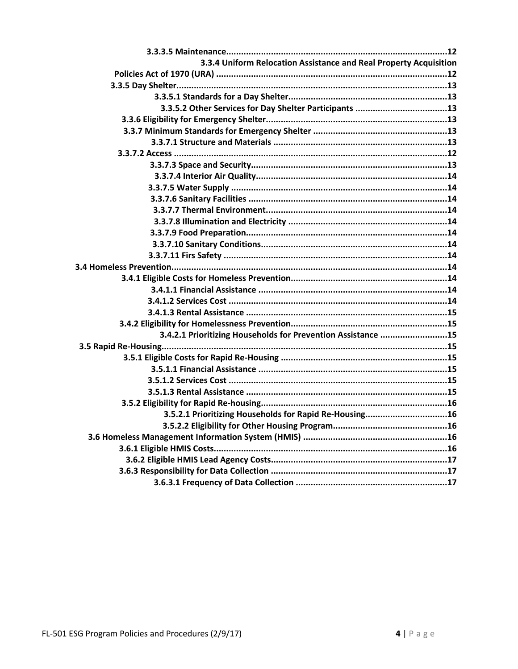| 3.3.4 Uniform Relocation Assistance and Real Property Acquisition |
|-------------------------------------------------------------------|
|                                                                   |
|                                                                   |
|                                                                   |
|                                                                   |
|                                                                   |
|                                                                   |
|                                                                   |
|                                                                   |
|                                                                   |
|                                                                   |
|                                                                   |
|                                                                   |
|                                                                   |
|                                                                   |
|                                                                   |
|                                                                   |
|                                                                   |
|                                                                   |
|                                                                   |
|                                                                   |
|                                                                   |
|                                                                   |
|                                                                   |
| 3.4.2.1 Prioritizing Households for Prevention Assistance 15      |
|                                                                   |
|                                                                   |
|                                                                   |
|                                                                   |
|                                                                   |
|                                                                   |
| 3.5.2.1 Prioritizing Households for Rapid Re-Housing16            |
|                                                                   |
|                                                                   |
|                                                                   |
|                                                                   |
|                                                                   |
|                                                                   |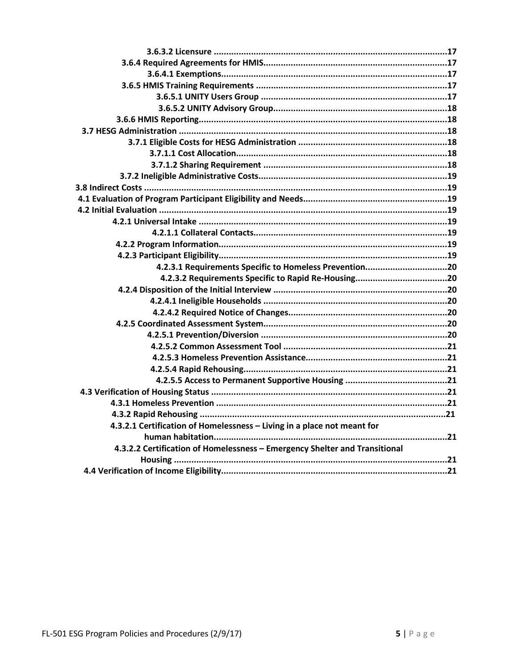| 4.2.3.1 Requirements Specific to Homeless Prevention20                     |  |
|----------------------------------------------------------------------------|--|
|                                                                            |  |
|                                                                            |  |
|                                                                            |  |
|                                                                            |  |
|                                                                            |  |
|                                                                            |  |
|                                                                            |  |
|                                                                            |  |
|                                                                            |  |
|                                                                            |  |
|                                                                            |  |
|                                                                            |  |
|                                                                            |  |
| 4.3.2.1 Certification of Homelessness - Living in a place not meant for    |  |
|                                                                            |  |
| 4.3.2.2 Certification of Homelessness - Emergency Shelter and Transitional |  |
|                                                                            |  |
|                                                                            |  |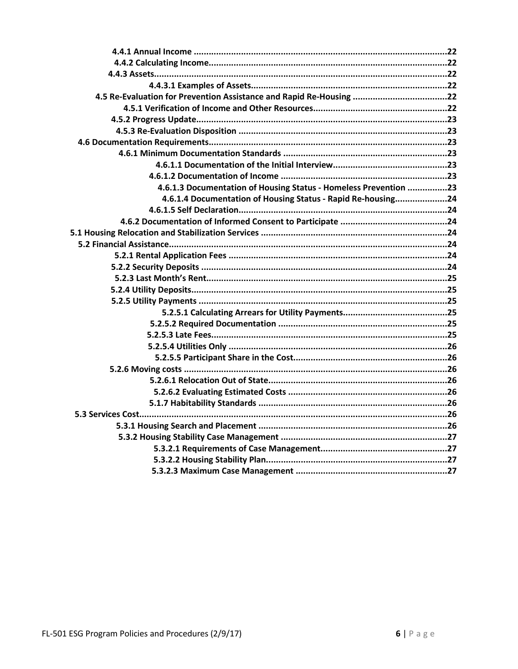| 4.5 Re-Evaluation for Prevention Assistance and Rapid Re-Housing 22 |  |
|---------------------------------------------------------------------|--|
|                                                                     |  |
|                                                                     |  |
|                                                                     |  |
|                                                                     |  |
|                                                                     |  |
|                                                                     |  |
|                                                                     |  |
| 4.6.1.3 Documentation of Housing Status - Homeless Prevention 23    |  |
| 4.6.1.4 Documentation of Housing Status - Rapid Re-housing24        |  |
|                                                                     |  |
|                                                                     |  |
|                                                                     |  |
|                                                                     |  |
|                                                                     |  |
|                                                                     |  |
|                                                                     |  |
|                                                                     |  |
|                                                                     |  |
|                                                                     |  |
|                                                                     |  |
|                                                                     |  |
|                                                                     |  |
|                                                                     |  |
|                                                                     |  |
|                                                                     |  |
|                                                                     |  |
|                                                                     |  |
|                                                                     |  |
|                                                                     |  |
|                                                                     |  |
|                                                                     |  |
|                                                                     |  |
|                                                                     |  |
|                                                                     |  |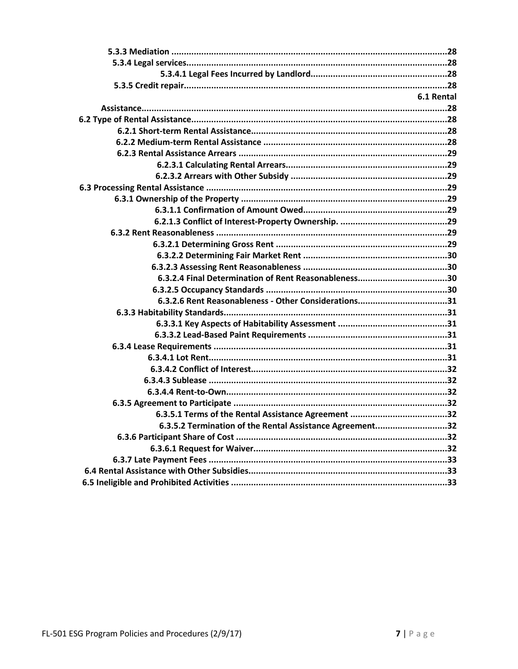| 6.1 Rental<br>6.3.2.6 Rent Reasonableness - Other Considerations31 |
|--------------------------------------------------------------------|
|                                                                    |
|                                                                    |
|                                                                    |
|                                                                    |
|                                                                    |
|                                                                    |
|                                                                    |
|                                                                    |
|                                                                    |
|                                                                    |
|                                                                    |
|                                                                    |
|                                                                    |
|                                                                    |
|                                                                    |
|                                                                    |
|                                                                    |
|                                                                    |
|                                                                    |
|                                                                    |
|                                                                    |
|                                                                    |
|                                                                    |
|                                                                    |
|                                                                    |
|                                                                    |
|                                                                    |
|                                                                    |
|                                                                    |
|                                                                    |
|                                                                    |
|                                                                    |
| 6.3.5.2 Termination of the Rental Assistance Agreement32           |
|                                                                    |
|                                                                    |
|                                                                    |
|                                                                    |
|                                                                    |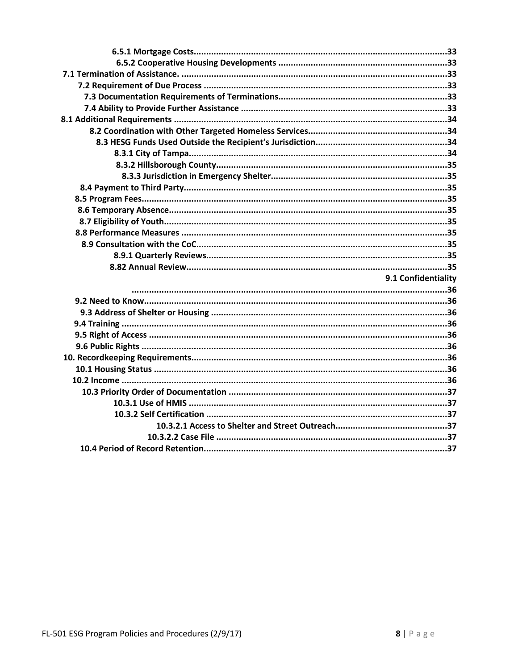| 9.1 Confidentiality |
|---------------------|
|                     |
|                     |
|                     |
|                     |
|                     |
|                     |
|                     |
|                     |
|                     |
|                     |
|                     |
|                     |
|                     |
|                     |
|                     |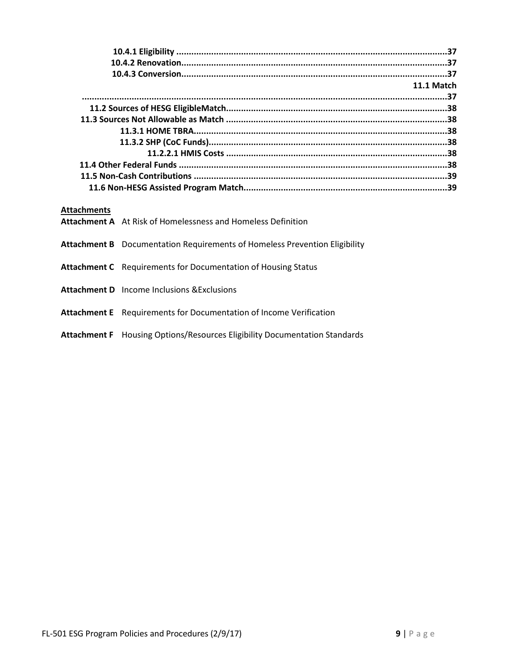|                    | 11.1 Match                                                                        |  |
|--------------------|-----------------------------------------------------------------------------------|--|
|                    |                                                                                   |  |
|                    |                                                                                   |  |
|                    |                                                                                   |  |
|                    |                                                                                   |  |
|                    |                                                                                   |  |
|                    |                                                                                   |  |
|                    |                                                                                   |  |
|                    |                                                                                   |  |
|                    |                                                                                   |  |
|                    |                                                                                   |  |
|                    |                                                                                   |  |
| <b>Attachments</b> |                                                                                   |  |
|                    | Attachment A At Risk of Homelessness and Homeless Definition                      |  |
|                    |                                                                                   |  |
|                    | <b>Attachment B</b> Documentation Requirements of Homeless Prevention Eligibility |  |
|                    |                                                                                   |  |
|                    | <b>Attachment C</b> Requirements for Documentation of Housing Status              |  |
|                    |                                                                                   |  |
|                    | <b>Attachment D</b> Income Inclusions & Exclusions                                |  |
|                    |                                                                                   |  |
|                    | <b>Attachment E</b> Requirements for Documentation of Income Verification         |  |

**Attachment F** Housing Options/Resources Eligibility Documentation Standards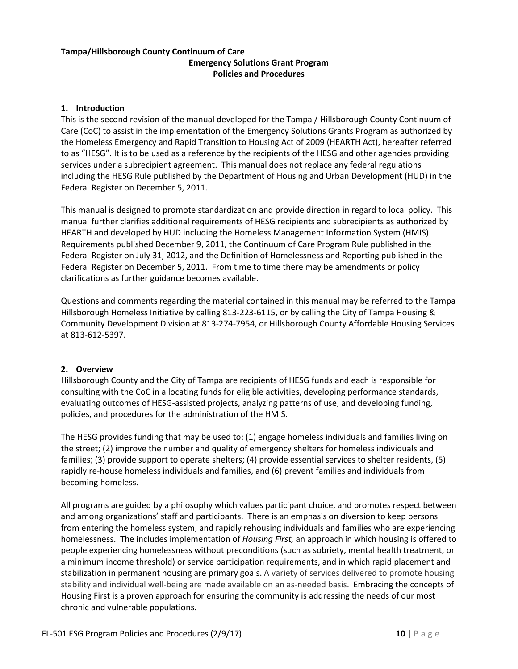#### **Tampa/Hillsborough County Continuum of Care Emergency Solutions Grant Program Policies and Procedures**

#### **1. Introduction**

This is the second revision of the manual developed for the Tampa / Hillsborough County Continuum of Care (CoC) to assist in the implementation of the Emergency Solutions Grants Program as authorized by the Homeless Emergency and Rapid Transition to Housing Act of 2009 (HEARTH Act), hereafter referred to as "HESG". It is to be used as a reference by the recipients of the HESG and other agencies providing services under a subrecipient agreement. This manual does not replace any federal regulations including the HESG Rule published by the Department of Housing and Urban Development (HUD) in the Federal Register on December 5, 2011.

This manual is designed to promote standardization and provide direction in regard to local policy. This manual further clarifies additional requirements of HESG recipients and subrecipients as authorized by HEARTH and developed by HUD including the Homeless Management Information System (HMIS) Requirements published December 9, 2011, the Continuum of Care Program Rule published in the Federal Register on July 31, 2012, and the Definition of Homelessness and Reporting published in the Federal Register on December 5, 2011. From time to time there may be amendments or policy clarifications as further guidance becomes available.

Questions and comments regarding the material contained in this manual may be referred to the Tampa Hillsborough Homeless Initiative by calling 813-223-6115, or by calling the City of Tampa Housing & Community Development Division at 813-274-7954, or Hillsborough County Affordable Housing Services at 813-612-5397.

#### **2. Overview**

Hillsborough County and the City of Tampa are recipients of HESG funds and each is responsible for consulting with the CoC in allocating funds for eligible activities, developing performance standards, evaluating outcomes of HESG-assisted projects, analyzing patterns of use, and developing funding, policies, and procedures for the administration of the HMIS.

The HESG provides funding that may be used to: (1) engage homeless individuals and families living on the street; (2) improve the number and quality of emergency shelters for homeless individuals and families; (3) provide support to operate shelters; (4) provide essential services to shelter residents, (5) rapidly re-house homeless individuals and families, and (6) prevent families and individuals from becoming homeless.

All programs are guided by a philosophy which values participant choice, and promotes respect between and among organizations' staff and participants. There is an emphasis on diversion to keep persons from entering the homeless system, and rapidly rehousing individuals and families who are experiencing homelessness. The includes implementation of *Housing First,* an approach in which housing is offered to people experiencing homelessness without preconditions (such as sobriety, mental health treatment, or a minimum income threshold) or service participation requirements, and in which rapid placement and stabilization in permanent housing are primary goals. A variety of services delivered to promote housing stability and individual well-being are made available on an as-needed basis. Embracing the concepts of Housing First is a proven approach for ensuring the community is addressing the needs of our most chronic and vulnerable populations.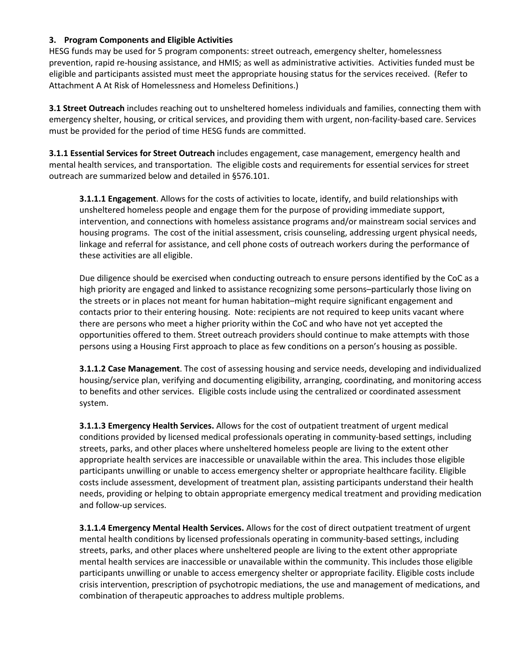#### **3. Program Components and Eligible Activities**

HESG funds may be used for 5 program components: street outreach, emergency shelter, homelessness prevention, rapid re-housing assistance, and HMIS; as well as administrative activities. Activities funded must be eligible and participants assisted must meet the appropriate housing status for the services received. (Refer to Attachment A At Risk of Homelessness and Homeless Definitions.)

**3.1 Street Outreach** includes reaching out to unsheltered homeless individuals and families, connecting them with emergency shelter, housing, or critical services, and providing them with urgent, non-facility-based care. Services must be provided for the period of time HESG funds are committed.

**3.1.1 Essential Services for Street Outreach** includes engagement, case management, emergency health and mental health services, and transportation. The eligible costs and requirements for essential services for street outreach are summarized below and detailed in §576.101.

**3.1.1.1 Engagement**. Allows for the costs of activities to locate, identify, and build relationships with unsheltered homeless people and engage them for the purpose of providing immediate support, intervention, and connections with homeless assistance programs and/or mainstream social services and housing programs. The cost of the initial assessment, crisis counseling, addressing urgent physical needs, linkage and referral for assistance, and cell phone costs of outreach workers during the performance of these activities are all eligible.

Due diligence should be exercised when conducting outreach to ensure persons identified by the CoC as a high priority are engaged and linked to assistance recognizing some persons–particularly those living on the streets or in places not meant for human habitation–might require significant engagement and contacts prior to their entering housing. Note: recipients are not required to keep units vacant where there are persons who meet a higher priority within the CoC and who have not yet accepted the opportunities offered to them. Street outreach providers should continue to make attempts with those persons using a Housing First approach to place as few conditions on a person's housing as possible.

**3.1.1.2 Case Management**. The cost of assessing housing and service needs, developing and individualized housing/service plan, verifying and documenting eligibility, arranging, coordinating, and monitoring access to benefits and other services. Eligible costs include using the centralized or coordinated assessment system.

**3.1.1.3 Emergency Health Services.** Allows for the cost of outpatient treatment of urgent medical conditions provided by licensed medical professionals operating in community-based settings, including streets, parks, and other places where unsheltered homeless people are living to the extent other appropriate health services are inaccessible or unavailable within the area. This includes those eligible participants unwilling or unable to access emergency shelter or appropriate healthcare facility. Eligible costs include assessment, development of treatment plan, assisting participants understand their health needs, providing or helping to obtain appropriate emergency medical treatment and providing medication and follow-up services.

**3.1.1.4 Emergency Mental Health Services.** Allows for the cost of direct outpatient treatment of urgent mental health conditions by licensed professionals operating in community-based settings, including streets, parks, and other places where unsheltered people are living to the extent other appropriate mental health services are inaccessible or unavailable within the community. This includes those eligible participants unwilling or unable to access emergency shelter or appropriate facility. Eligible costs include crisis intervention, prescription of psychotropic mediations, the use and management of medications, and combination of therapeutic approaches to address multiple problems.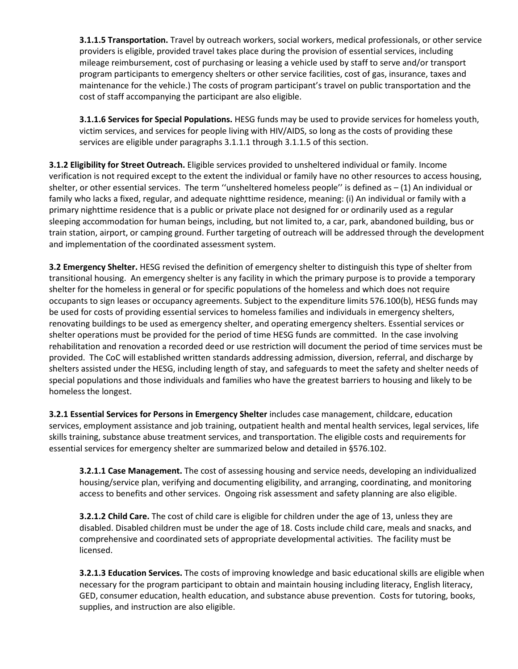**3.1.1.5 Transportation.** Travel by outreach workers, social workers, medical professionals, or other service providers is eligible, provided travel takes place during the provision of essential services, including mileage reimbursement, cost of purchasing or leasing a vehicle used by staff to serve and/or transport program participants to emergency shelters or other service facilities, cost of gas, insurance, taxes and maintenance for the vehicle.) The costs of program participant's travel on public transportation and the cost of staff accompanying the participant are also eligible.

**3.1.1.6 Services for Special Populations.** HESG funds may be used to provide services for homeless youth, victim services, and services for people living with HIV/AIDS, so long as the costs of providing these services are eligible under paragraphs 3.1.1.1 through 3.1.1.5 of this section.

**3.1.2 Eligibility for Street Outreach.** Eligible services provided to unsheltered individual or family. Income verification is not required except to the extent the individual or family have no other resources to access housing, shelter, or other essential services. The term ''unsheltered homeless people'' is defined as – (1) An individual or family who lacks a fixed, regular, and adequate nighttime residence, meaning: (i) An individual or family with a primary nighttime residence that is a public or private place not designed for or ordinarily used as a regular sleeping accommodation for human beings, including, but not limited to, a car, park, abandoned building, bus or train station, airport, or camping ground. Further targeting of outreach will be addressed through the development and implementation of the coordinated assessment system.

**3.2 Emergency Shelter.** HESG revised the definition of emergency shelter to distinguish this type of shelter from transitional housing.An emergency shelter is any facility in which the primary purpose is to provide a temporary shelter for the homeless in general or for specific populations of the homeless and which does not require occupants to sign leases or occupancy agreements. Subject to the expenditure limits 576.100(b), HESG funds may be used for costs of providing essential services to homeless families and individuals in emergency shelters, renovating buildings to be used as emergency shelter, and operating emergency shelters. Essential services or shelter operations must be provided for the period of time HESG funds are committed. In the case involving rehabilitation and renovation a recorded deed or use restriction will document the period of time services must be provided. The CoC will established written standards addressing admission, diversion, referral, and discharge by shelters assisted under the HESG, including length of stay, and safeguards to meet the safety and shelter needs of special populations and those individuals and families who have the greatest barriers to housing and likely to be homeless the longest.

**3.2.1 Essential Services for Persons in Emergency Shelter** includes case management, childcare, education services, employment assistance and job training, outpatient health and mental health services, legal services, life skills training, substance abuse treatment services, and transportation. The eligible costs and requirements for essential services for emergency shelter are summarized below and detailed in §576.102.

**3.2.1.1 Case Management.** The cost of assessing housing and service needs, developing an individualized housing/service plan, verifying and documenting eligibility, and arranging, coordinating, and monitoring access to benefits and other services. Ongoing risk assessment and safety planning are also eligible.

**3.2.1.2 Child Care.** The cost of child care is eligible for children under the age of 13, unless they are disabled. Disabled children must be under the age of 18. Costs include child care, meals and snacks, and comprehensive and coordinated sets of appropriate developmental activities. The facility must be licensed.

**3.2.1.3 Education Services.** The costs of improving knowledge and basic educational skills are eligible when necessary for the program participant to obtain and maintain housing including literacy, English literacy, GED, consumer education, health education, and substance abuse prevention. Costs for tutoring, books, supplies, and instruction are also eligible.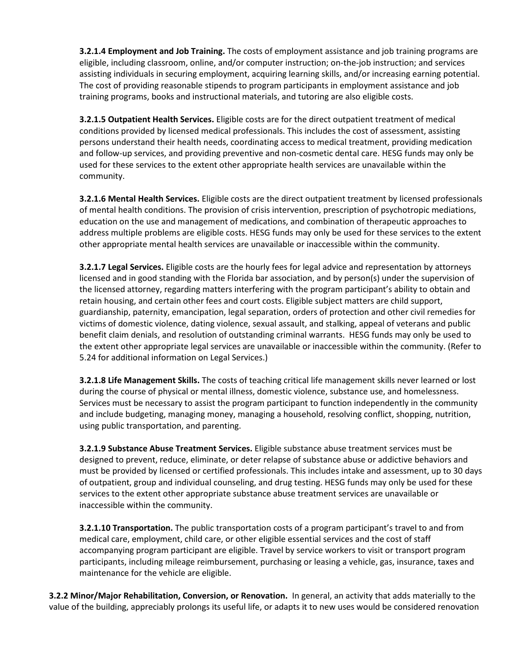**3.2.1.4 Employment and Job Training.** The costs of employment assistance and job training programs are eligible, including classroom, online, and/or computer instruction; on-the-job instruction; and services assisting individuals in securing employment, acquiring learning skills, and/or increasing earning potential. The cost of providing reasonable stipends to program participants in employment assistance and job training programs, books and instructional materials, and tutoring are also eligible costs.

**3.2.1.5 Outpatient Health Services.** Eligible costs are for the direct outpatient treatment of medical conditions provided by licensed medical professionals. This includes the cost of assessment, assisting persons understand their health needs, coordinating access to medical treatment, providing medication and follow-up services, and providing preventive and non-cosmetic dental care. HESG funds may only be used for these services to the extent other appropriate health services are unavailable within the community.

**3.2.1.6 Mental Health Services.** Eligible costs are the direct outpatient treatment by licensed professionals of mental health conditions. The provision of crisis intervention, prescription of psychotropic mediations, education on the use and management of medications, and combination of therapeutic approaches to address multiple problems are eligible costs. HESG funds may only be used for these services to the extent other appropriate mental health services are unavailable or inaccessible within the community.

**3.2.1.7 Legal Services.** Eligible costs are the hourly fees for legal advice and representation by attorneys licensed and in good standing with the Florida bar association, and by person(s) under the supervision of the licensed attorney, regarding matters interfering with the program participant's ability to obtain and retain housing, and certain other fees and court costs. Eligible subject matters are child support, guardianship, paternity, emancipation, legal separation, orders of protection and other civil remedies for victims of domestic violence, dating violence, sexual assault, and stalking, appeal of veterans and public benefit claim denials, and resolution of outstanding criminal warrants. HESG funds may only be used to the extent other appropriate legal services are unavailable or inaccessible within the community. (Refer to 5.24 for additional information on Legal Services.)

**3.2.1.8 Life Management Skills.** The costs of teaching critical life management skills never learned or lost during the course of physical or mental illness, domestic violence, substance use, and homelessness. Services must be necessary to assist the program participant to function independently in the community and include budgeting, managing money, managing a household, resolving conflict, shopping, nutrition, using public transportation, and parenting.

**3.2.1.9 Substance Abuse Treatment Services.** Eligible substance abuse treatment services must be designed to prevent, reduce, eliminate, or deter relapse of substance abuse or addictive behaviors and must be provided by licensed or certified professionals. This includes intake and assessment, up to 30 days of outpatient, group and individual counseling, and drug testing. HESG funds may only be used for these services to the extent other appropriate substance abuse treatment services are unavailable or inaccessible within the community.

**3.2.1.10 Transportation.** The public transportation costs of a program participant's travel to and from medical care, employment, child care, or other eligible essential services and the cost of staff accompanying program participant are eligible. Travel by service workers to visit or transport program participants, including mileage reimbursement, purchasing or leasing a vehicle, gas, insurance, taxes and maintenance for the vehicle are eligible.

**3.2.2 Minor/Major Rehabilitation, Conversion, or Renovation.** In general, an activity that adds materially to the value of the building, appreciably prolongs its useful life, or adapts it to new uses would be considered renovation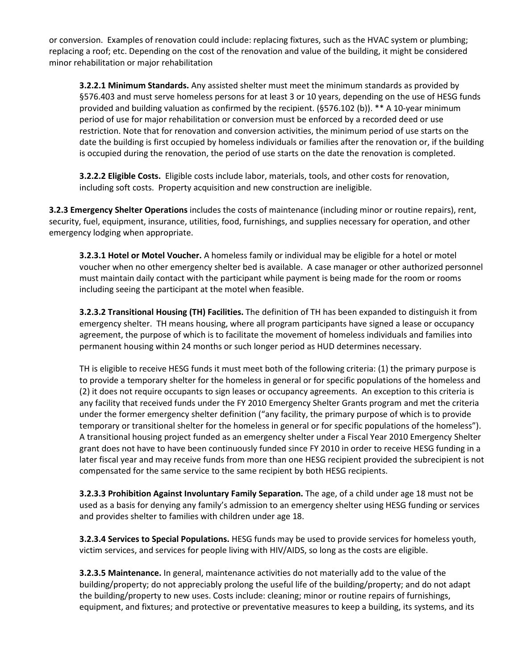or conversion. Examples of renovation could include: replacing fixtures, such as the HVAC system or plumbing; replacing a roof; etc. Depending on the cost of the renovation and value of the building, it might be considered minor rehabilitation or major rehabilitation

**3.2.2.1 Minimum Standards.** Any assisted shelter must meet the minimum standards as provided by §576.403 and must serve homeless persons for at least 3 or 10 years, depending on the use of HESG funds provided and building valuation as confirmed by the recipient. (§576.102 (b)). \*\* A 10-year minimum period of use for major rehabilitation or conversion must be enforced by a recorded deed or use restriction. Note that for renovation and conversion activities, the minimum period of use starts on the date the building is first occupied by homeless individuals or families after the renovation or, if the building is occupied during the renovation, the period of use starts on the date the renovation is completed.

**3.2.2.2 Eligible Costs.** Eligible costs include labor, materials, tools, and other costs for renovation, including soft costs. Property acquisition and new construction are ineligible.

**3.2.3 Emergency Shelter Operations** includes the costs of maintenance (including minor or routine repairs), rent, security, fuel, equipment, insurance, utilities, food, furnishings, and supplies necessary for operation, and other emergency lodging when appropriate.

**3.2.3.1 Hotel or Motel Voucher.** A homeless family or individual may be eligible for a hotel or motel voucher when no other emergency shelter bed is available. A case manager or other authorized personnel must maintain daily contact with the participant while payment is being made for the room or rooms including seeing the participant at the motel when feasible.

**3.2.3.2 Transitional Housing (TH) Facilities.** The definition of TH has been expanded to distinguish it from emergency shelter. TH means housing, where all program participants have signed a lease or occupancy agreement, the purpose of which is to facilitate the movement of homeless individuals and families into permanent housing within 24 months or such longer period as HUD determines necessary.

TH is eligible to receive HESG funds it must meet both of the following criteria: (1) the primary purpose is to provide a temporary shelter for the homeless in general or for specific populations of the homeless and (2) it does not require occupants to sign leases or occupancy agreements. An exception to this criteria is any facility that received funds under the FY 2010 Emergency Shelter Grants program and met the criteria under the former emergency shelter definition ("any facility, the primary purpose of which is to provide temporary or transitional shelter for the homeless in general or for specific populations of the homeless"). A transitional housing project funded as an emergency shelter under a Fiscal Year 2010 Emergency Shelter grant does not have to have been continuously funded since FY 2010 in order to receive HESG funding in a later fiscal year and may receive funds from more than one HESG recipient provided the subrecipient is not compensated for the same service to the same recipient by both HESG recipients.

**3.2.3.3 Prohibition Against Involuntary Family Separation.** The age, of a child under age 18 must not be used as a basis for denying any family's admission to an emergency shelter using HESG funding or services and provides shelter to families with children under age 18.

**3.2.3.4 Services to Special Populations.** HESG funds may be used to provide services for homeless youth, victim services, and services for people living with HIV/AIDS, so long as the costs are eligible.

**3.2.3.5 Maintenance.** In general, maintenance activities do not materially add to the value of the building/property; do not appreciably prolong the useful life of the building/property; and do not adapt the building/property to new uses. Costs include: cleaning; minor or routine repairs of furnishings, equipment, and fixtures; and protective or preventative measures to keep a building, its systems, and its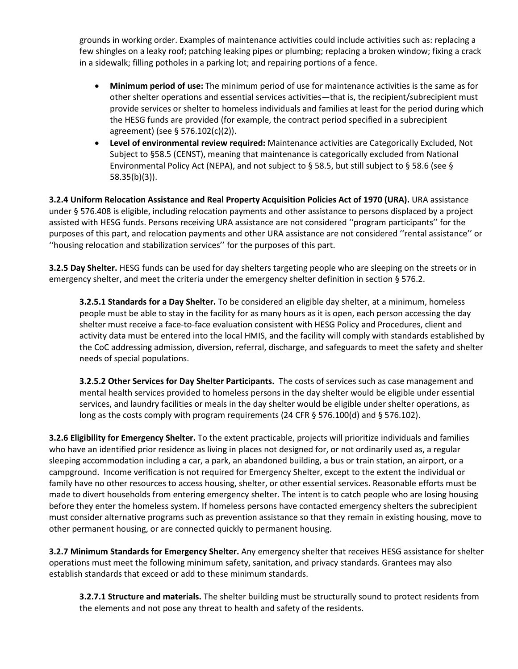grounds in working order. Examples of maintenance activities could include activities such as: replacing a few shingles on a leaky roof; patching leaking pipes or plumbing; replacing a broken window; fixing a crack in a sidewalk; filling potholes in a parking lot; and repairing portions of a fence.

- **Minimum period of use:** The minimum period of use for maintenance activities is the same as for other shelter operations and essential services activities—that is, the recipient/subrecipient must provide services or shelter to homeless individuals and families at least for the period during which the HESG funds are provided (for example, the contract period specified in a subrecipient agreement) (see § 576.102(c)(2)).
- **Level of environmental review required:** Maintenance activities are Categorically Excluded, Not Subject to §58.5 (CENST), meaning that maintenance is categorically excluded from National Environmental Policy Act (NEPA), and not subject to § 58.5, but still subject to § 58.6 (see § 58.35(b)(3)).

**3.2.4 Uniform Relocation Assistance and Real Property Acquisition Policies Act of 1970 (URA).** URA assistance under § 576.408 is eligible, including relocation payments and other assistance to persons displaced by a project assisted with HESG funds. Persons receiving URA assistance are not considered ''program participants'' for the purposes of this part, and relocation payments and other URA assistance are not considered ''rental assistance'' or ''housing relocation and stabilization services'' for the purposes of this part.

**3.2.5 Day Shelter.** HESG funds can be used for day shelters targeting people who are sleeping on the streets or in emergency shelter, and meet the criteria under the emergency shelter definition in section § 576.2.

**3.2.5.1 Standards for a Day Shelter.** To be considered an eligible day shelter, at a minimum, homeless people must be able to stay in the facility for as many hours as it is open, each person accessing the day shelter must receive a face-to-face evaluation consistent with HESG Policy and Procedures, client and activity data must be entered into the local HMIS, and the facility will comply with standards established by the CoC addressing admission, diversion, referral, discharge, and safeguards to meet the safety and shelter needs of special populations.

**3.2.5.2 Other Services for Day Shelter Participants.** The costs of services such as case management and mental health services provided to homeless persons in the day shelter would be eligible under essential services, and laundry facilities or meals in the day shelter would be eligible under shelter operations, as long as the costs comply with program requirements (24 CFR § 576.100(d) and § 576.102).

**3.2.6 Eligibility for Emergency Shelter.** To the extent practicable, projects will prioritize individuals and families who have an identified prior residence as living in places not designed for, or not ordinarily used as, a regular sleeping accommodation including a car, a park, an abandoned building, a bus or train station, an airport, or a campground. Income verification is not required for Emergency Shelter, except to the extent the individual or family have no other resources to access housing, shelter, or other essential services. Reasonable efforts must be made to divert households from entering emergency shelter. The intent is to catch people who are losing housing before they enter the homeless system. If homeless persons have contacted emergency shelters the subrecipient must consider alternative programs such as prevention assistance so that they remain in existing housing, move to other permanent housing, or are connected quickly to permanent housing.

**3.2.7 Minimum Standards for Emergency Shelter.** Any emergency shelter that receives HESG assistance for shelter operations must meet the following minimum safety, sanitation, and privacy standards. Grantees may also establish standards that exceed or add to these minimum standards.

**3.2.7.1 Structure and materials.** The shelter building must be structurally sound to protect residents from the elements and not pose any threat to health and safety of the residents.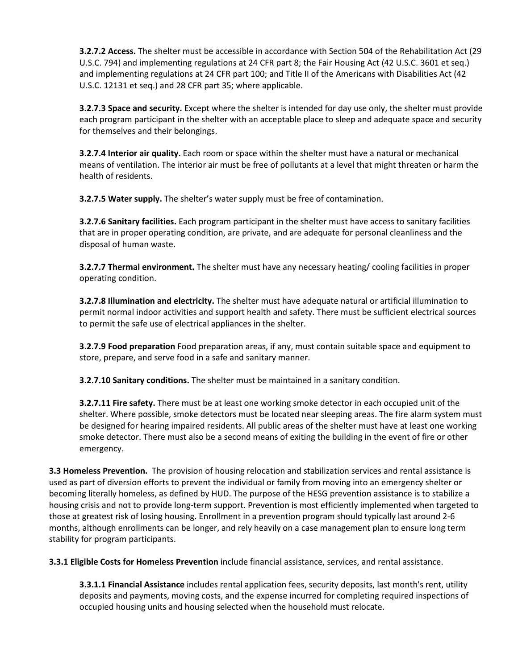**3.2.7.2 Access.** The shelter must be accessible in accordance with Section 504 of the Rehabilitation Act (29 U.S.C. 794) and implementing regulations at 24 CFR part 8; the Fair Housing Act (42 U.S.C. 3601 et seq.) and implementing regulations at 24 CFR part 100; and Title II of the Americans with Disabilities Act (42 U.S.C. 12131 et seq.) and 28 CFR part 35; where applicable.

**3.2.7.3 Space and security.** Except where the shelter is intended for day use only, the shelter must provide each program participant in the shelter with an acceptable place to sleep and adequate space and security for themselves and their belongings.

**3.2.7.4 Interior air quality.** Each room or space within the shelter must have a natural or mechanical means of ventilation. The interior air must be free of pollutants at a level that might threaten or harm the health of residents.

**3.2.7.5 Water supply.** The shelter's water supply must be free of contamination.

**3.2.7.6 Sanitary facilities.** Each program participant in the shelter must have access to sanitary facilities that are in proper operating condition, are private, and are adequate for personal cleanliness and the disposal of human waste.

**3.2.7.7 Thermal environment.** The shelter must have any necessary heating/ cooling facilities in proper operating condition.

**3.2.7.8 Illumination and electricity.** The shelter must have adequate natural or artificial illumination to permit normal indoor activities and support health and safety. There must be sufficient electrical sources to permit the safe use of electrical appliances in the shelter.

**3.2.7.9 Food preparation** Food preparation areas, if any, must contain suitable space and equipment to store, prepare, and serve food in a safe and sanitary manner.

**3.2.7.10 Sanitary conditions.** The shelter must be maintained in a sanitary condition.

**3.2.7.11 Fire safety.** There must be at least one working smoke detector in each occupied unit of the shelter. Where possible, smoke detectors must be located near sleeping areas. The fire alarm system must be designed for hearing impaired residents. All public areas of the shelter must have at least one working smoke detector. There must also be a second means of exiting the building in the event of fire or other emergency.

**3.3 Homeless Prevention.** The provision of housing relocation and stabilization services and rental assistance is used as part of diversion efforts to prevent the individual or family from moving into an emergency shelter or becoming literally homeless, as defined by HUD. The purpose of the HESG prevention assistance is to stabilize a housing crisis and not to provide long-term support. Prevention is most efficiently implemented when targeted to those at greatest risk of losing housing. Enrollment in a prevention program should typically last around 2-6 months, although enrollments can be longer, and rely heavily on a case management plan to ensure long term stability for program participants.

**3.3.1 Eligible Costs for Homeless Prevention** include financial assistance, services, and rental assistance.

**3.3.1.1 Financial Assistance** includes rental application fees, security deposits, last month's rent, utility deposits and payments, moving costs, and the expense incurred for completing required inspections of occupied housing units and housing selected when the household must relocate.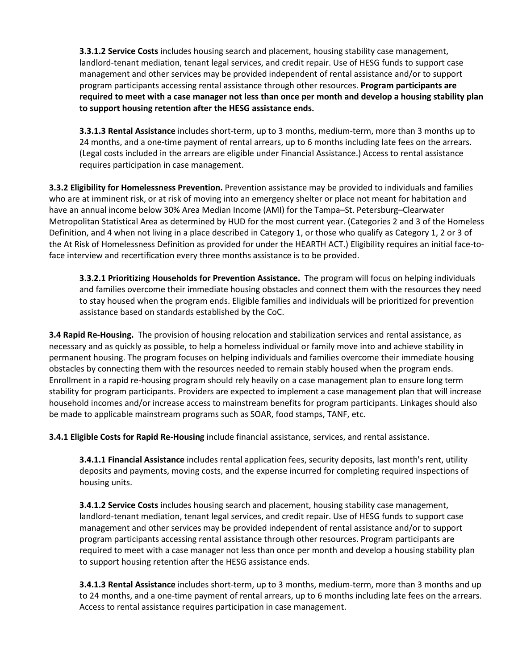**3.3.1.2 Service Costs** includes housing search and placement, housing stability case management, landlord-tenant mediation, tenant legal services, and credit repair. Use of HESG funds to support case management and other services may be provided independent of rental assistance and/or to support program participants accessing rental assistance through other resources. **Program participants are required to meet with a case manager not less than once per month and develop a housing stability plan to support housing retention after the HESG assistance ends.**

**3.3.1.3 Rental Assistance** includes short-term, up to 3 months, medium-term, more than 3 months up to 24 months, and a one-time payment of rental arrears, up to 6 months including late fees on the arrears. (Legal costs included in the arrears are eligible under Financial Assistance.) Access to rental assistance requires participation in case management.

**3.3.2 Eligibility for Homelessness Prevention.** Prevention assistance may be provided to individuals and families who are at imminent risk, or at risk of moving into an emergency shelter or place not meant for habitation and have an annual income below 30% Area Median Income (AMI) for the Tampa–St. Petersburg–Clearwater Metropolitan Statistical Area as determined by HUD for the most current year. (Categories 2 and 3 of the Homeless Definition, and 4 when not living in a place described in Category 1, or those who qualify as Category 1, 2 or 3 of the At Risk of Homelessness Definition as provided for under the HEARTH ACT.) Eligibility requires an initial face-toface interview and recertification every three months assistance is to be provided.

**3.3.2.1 Prioritizing Households for Prevention Assistance.** The program will focus on helping individuals and families overcome their immediate housing obstacles and connect them with the resources they need to stay housed when the program ends. Eligible families and individuals will be prioritized for prevention assistance based on standards established by the CoC.

**3.4 Rapid Re-Housing.** The provision of housing relocation and stabilization services and rental assistance, as necessary and as quickly as possible, to help a homeless individual or family move into and achieve stability in permanent housing. The program focuses on helping individuals and families overcome their immediate housing obstacles by connecting them with the resources needed to remain stably housed when the program ends. Enrollment in a rapid re-housing program should rely heavily on a case management plan to ensure long term stability for program participants. Providers are expected to implement a case management plan that will increase household incomes and/or increase access to mainstream benefits for program participants. Linkages should also be made to applicable mainstream programs such as SOAR, food stamps, TANF, etc.

**3.4.1 Eligible Costs for Rapid Re-Housing** include financial assistance, services, and rental assistance.

**3.4.1.1 Financial Assistance** includes rental application fees, security deposits, last month's rent, utility deposits and payments, moving costs, and the expense incurred for completing required inspections of housing units.

**3.4.1.2 Service Costs** includes housing search and placement, housing stability case management, landlord-tenant mediation, tenant legal services, and credit repair. Use of HESG funds to support case management and other services may be provided independent of rental assistance and/or to support program participants accessing rental assistance through other resources. Program participants are required to meet with a case manager not less than once per month and develop a housing stability plan to support housing retention after the HESG assistance ends.

**3.4.1.3 Rental Assistance** includes short-term, up to 3 months, medium-term, more than 3 months and up to 24 months, and a one-time payment of rental arrears, up to 6 months including late fees on the arrears. Access to rental assistance requires participation in case management.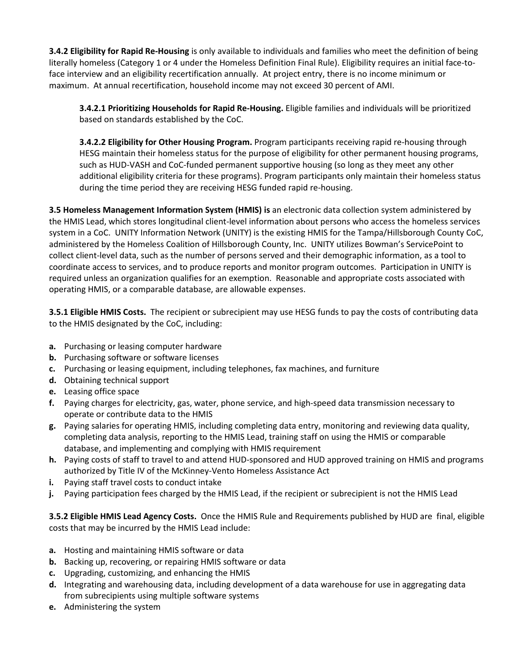**3.4.2 Eligibility for Rapid Re-Housing** is only available to individuals and families who meet the definition of being literally homeless (Category 1 or 4 under the Homeless Definition Final Rule). Eligibility requires an initial face-toface interview and an eligibility recertification annually. At project entry, there is no income minimum or maximum. At annual recertification, household income may not exceed 30 percent of AMI.

**3.4.2.1 Prioritizing Households for Rapid Re-Housing.** Eligible families and individuals will be prioritized based on standards established by the CoC.

**3.4.2.2 Eligibility for Other Housing Program.** Program participants receiving rapid re-housing through HESG maintain their homeless status for the purpose of eligibility for other permanent housing programs, such as HUD-VASH and CoC-funded permanent supportive housing (so long as they meet any other additional eligibility criteria for these programs). Program participants only maintain their homeless status during the time period they are receiving HESG funded rapid re-housing.

**3.5 Homeless Management Information System (HMIS) is** an electronic data collection system administered by the HMIS Lead, which stores longitudinal client-level information about persons who access the homeless services system in a CoC. UNITY Information Network (UNITY) is the existing HMIS for the Tampa/Hillsborough County CoC, administered by the Homeless Coalition of Hillsborough County, Inc. UNITY utilizes Bowman's ServicePoint to collect client-level data, such as the number of persons served and their demographic information, as a tool to coordinate access to services, and to produce reports and monitor program outcomes. Participation in UNITY is required unless an organization qualifies for an exemption. Reasonable and appropriate costs associated with operating HMIS, or a comparable database, are allowable expenses.

**3.5.1 Eligible HMIS Costs.** The recipient or subrecipient may use HESG funds to pay the costs of contributing data to the HMIS designated by the CoC, including:

- **a.** Purchasing or leasing computer hardware
- **b.** Purchasing software or software licenses
- **c.** Purchasing or leasing equipment, including telephones, fax machines, and furniture
- **d.** Obtaining technical support
- **e.** Leasing office space
- **f.** Paying charges for electricity, gas, water, phone service, and high-speed data transmission necessary to operate or contribute data to the HMIS
- **g.** Paying salaries for operating HMIS, including completing data entry, monitoring and reviewing data quality, completing data analysis, reporting to the HMIS Lead, training staff on using the HMIS or comparable database, and implementing and complying with HMIS requirement
- **h.** Paying costs of staff to travel to and attend HUD-sponsored and HUD approved training on HMIS and programs authorized by Title IV of the McKinney-Vento Homeless Assistance Act
- **i.** Paying staff travel costs to conduct intake
- **j.** Paying participation fees charged by the HMIS Lead, if the recipient or subrecipient is not the HMIS Lead

**3.5.2 Eligible HMIS Lead Agency Costs.** Once the HMIS Rule and Requirements published by HUD are final, eligible costs that may be incurred by the HMIS Lead include:

- **a.** Hosting and maintaining HMIS software or data
- **b.** Backing up, recovering, or repairing HMIS software or data
- **c.** Upgrading, customizing, and enhancing the HMIS
- **d.** Integrating and warehousing data, including development of a data warehouse for use in aggregating data from subrecipients using multiple software systems
- **e.** Administering the system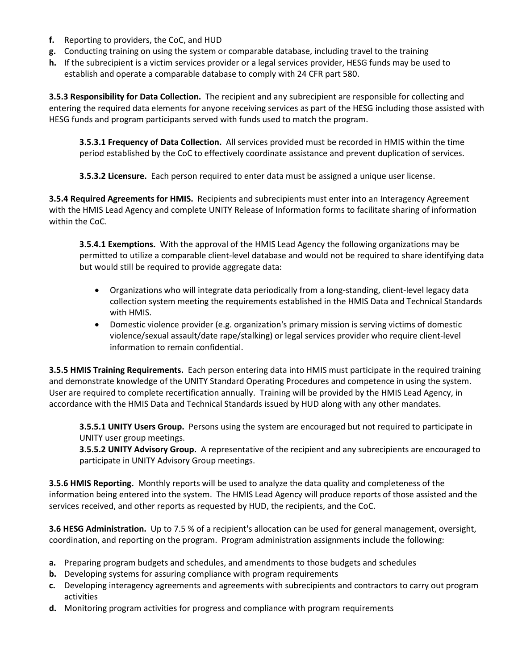- **f.** Reporting to providers, the CoC, and HUD
- **g.** Conducting training on using the system or comparable database, including travel to the training
- **h.** If the subrecipient is a victim services provider or a legal services provider, HESG funds may be used to establish and operate a comparable database to comply with 24 CFR part 580.

**3.5.3 Responsibility for Data Collection.** The recipient and any subrecipient are responsible for collecting and entering the required data elements for anyone receiving services as part of the HESG including those assisted with HESG funds and program participants served with funds used to match the program.

**3.5.3.1 Frequency of Data Collection.** All services provided must be recorded in HMIS within the time period established by the CoC to effectively coordinate assistance and prevent duplication of services.

**3.5.3.2 Licensure.** Each person required to enter data must be assigned a unique user license.

**3.5.4 Required Agreements for HMIS.** Recipients and subrecipients must enter into an Interagency Agreement with the HMIS Lead Agency and complete UNITY Release of Information forms to facilitate sharing of information within the CoC.

**3.5.4.1 Exemptions.** With the approval of the HMIS Lead Agency the following organizations may be permitted to utilize a comparable client-level database and would not be required to share identifying data but would still be required to provide aggregate data:

- Organizations who will integrate data periodically from a long-standing, client-level legacy data collection system meeting the requirements established in the HMIS Data and Technical Standards with HMIS.
- Domestic violence provider (e.g. organization's primary mission is serving victims of domestic violence/sexual assault/date rape/stalking) or legal services provider who require client-level information to remain confidential.

**3.5.5 HMIS Training Requirements.** Each person entering data into HMIS must participate in the required training and demonstrate knowledge of the UNITY Standard Operating Procedures and competence in using the system. User are required to complete recertification annually. Training will be provided by the HMIS Lead Agency, in accordance with the HMIS Data and Technical Standards issued by HUD along with any other mandates.

**3.5.5.1 UNITY Users Group.** Persons using the system are encouraged but not required to participate in UNITY user group meetings.

**3.5.5.2 UNITY Advisory Group.** A representative of the recipient and any subrecipients are encouraged to participate in UNITY Advisory Group meetings.

**3.5.6 HMIS Reporting.** Monthly reports will be used to analyze the data quality and completeness of the information being entered into the system. The HMIS Lead Agency will produce reports of those assisted and the services received, and other reports as requested by HUD, the recipients, and the CoC.

**3.6 HESG Administration.** Up to 7.5 % of a recipient's allocation can be used for general management, oversight, coordination, and reporting on the program. Program administration assignments include the following:

- **a.** Preparing program budgets and schedules, and amendments to those budgets and schedules
- **b.** Developing systems for assuring compliance with program requirements
- **c.** Developing interagency agreements and agreements with subrecipients and contractors to carry out program activities
- **d.** Monitoring program activities for progress and compliance with program requirements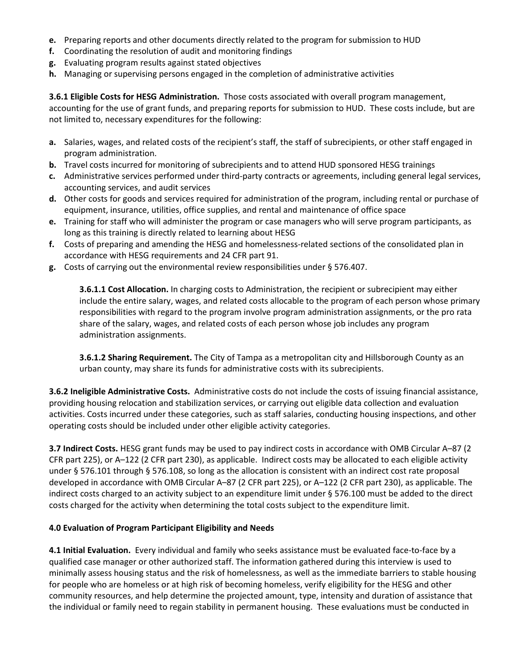- **e.** Preparing reports and other documents directly related to the program for submission to HUD
- **f.** Coordinating the resolution of audit and monitoring findings
- **g.** Evaluating program results against stated objectives
- **h.** Managing or supervising persons engaged in the completion of administrative activities

**3.6.1 Eligible Costs for HESG Administration.** Those costs associated with overall program management, accounting for the use of grant funds, and preparing reports for submission to HUD. These costs include, but are not limited to, necessary expenditures for the following:

- **a.** Salaries, wages, and related costs of the recipient's staff, the staff of subrecipients, or other staff engaged in program administration.
- **b.** Travel costs incurred for monitoring of subrecipients and to attend HUD sponsored HESG trainings
- **c.** Administrative services performed under third-party contracts or agreements, including general legal services, accounting services, and audit services
- **d.** Other costs for goods and services required for administration of the program, including rental or purchase of equipment, insurance, utilities, office supplies, and rental and maintenance of office space
- **e.** Training for staff who will administer the program or case managers who will serve program participants, as long as this training is directly related to learning about HESG
- **f.** Costs of preparing and amending the HESG and homelessness-related sections of the consolidated plan in accordance with HESG requirements and 24 CFR part 91.
- **g.** Costs of carrying out the environmental review responsibilities under § 576.407.

**3.6.1.1 Cost Allocation.** In charging costs to Administration, the recipient or subrecipient may either include the entire salary, wages, and related costs allocable to the program of each person whose primary responsibilities with regard to the program involve program administration assignments, or the pro rata share of the salary, wages, and related costs of each person whose job includes any program administration assignments.

**3.6.1.2 Sharing Requirement.** The City of Tampa as a metropolitan city and Hillsborough County as an urban county, may share its funds for administrative costs with its subrecipients.

**3.6.2 Ineligible Administrative Costs.** Administrative costs do not include the costs of issuing financial assistance, providing housing relocation and stabilization services, or carrying out eligible data collection and evaluation activities. Costs incurred under these categories, such as staff salaries, conducting housing inspections, and other operating costs should be included under other eligible activity categories.

**3.7 Indirect Costs.** HESG grant funds may be used to pay indirect costs in accordance with OMB Circular A–87 (2 CFR part 225), or A–122 (2 CFR part 230), as applicable. Indirect costs may be allocated to each eligible activity under § 576.101 through § 576.108, so long as the allocation is consistent with an indirect cost rate proposal developed in accordance with OMB Circular A–87 (2 CFR part 225), or A–122 (2 CFR part 230), as applicable. The indirect costs charged to an activity subject to an expenditure limit under § 576.100 must be added to the direct costs charged for the activity when determining the total costs subject to the expenditure limit.

#### **4.0 Evaluation of Program Participant Eligibility and Needs**

**4.1 Initial Evaluation.** Every individual and family who seeks assistance must be evaluated face-to-face by a qualified case manager or other authorized staff. The information gathered during this interview is used to minimally assess housing status and the risk of homelessness, as well as the immediate barriers to stable housing for people who are homeless or at high risk of becoming homeless, verify eligibility for the HESG and other community resources, and help determine the projected amount, type, intensity and duration of assistance that the individual or family need to regain stability in permanent housing. These evaluations must be conducted in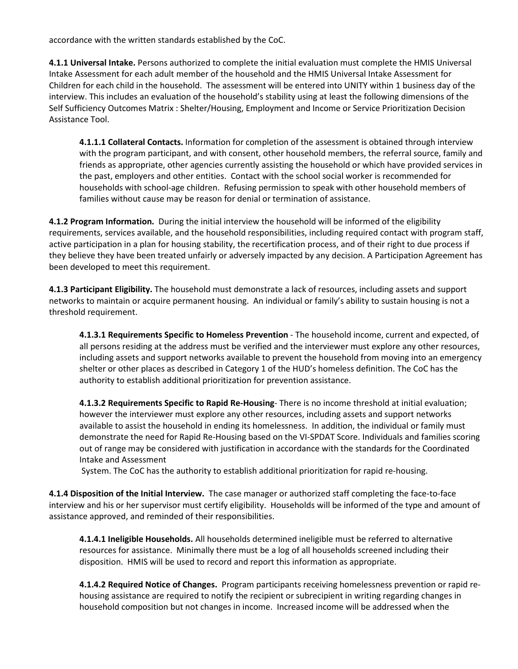accordance with the written standards established by the CoC.

**4.1.1 Universal Intake.** Persons authorized to complete the initial evaluation must complete the HMIS Universal Intake Assessment for each adult member of the household and the HMIS Universal Intake Assessment for Children for each child in the household. The assessment will be entered into UNITY within 1 business day of the interview. This includes an evaluation of the household's stability using at least the following dimensions of the Self Sufficiency Outcomes Matrix : Shelter/Housing, Employment and Income or Service Prioritization Decision Assistance Tool.

**4.1.1.1 Collateral Contacts.** Information for completion of the assessment is obtained through interview with the program participant, and with consent, other household members, the referral source, family and friends as appropriate, other agencies currently assisting the household or which have provided services in the past, employers and other entities. Contact with the school social worker is recommended for households with school-age children. Refusing permission to speak with other household members of families without cause may be reason for denial or termination of assistance.

**4.1.2 Program Information.** During the initial interview the household will be informed of the eligibility requirements, services available, and the household responsibilities, including required contact with program staff, active participation in a plan for housing stability, the recertification process, and of their right to due process if they believe they have been treated unfairly or adversely impacted by any decision. A Participation Agreement has been developed to meet this requirement.

**4.1.3 Participant Eligibility.** The household must demonstrate a lack of resources, including assets and support networks to maintain or acquire permanent housing. An individual or family's ability to sustain housing is not a threshold requirement.

**4.1.3.1 Requirements Specific to Homeless Prevention** - The household income, current and expected, of all persons residing at the address must be verified and the interviewer must explore any other resources, including assets and support networks available to prevent the household from moving into an emergency shelter or other places as described in Category 1 of the HUD's homeless definition. The CoC has the authority to establish additional prioritization for prevention assistance.

**4.1.3.2 Requirements Specific to Rapid Re-Housing**- There is no income threshold at initial evaluation; however the interviewer must explore any other resources, including assets and support networks available to assist the household in ending its homelessness. In addition, the individual or family must demonstrate the need for Rapid Re-Housing based on the VI-SPDAT Score. Individuals and families scoring out of range may be considered with justification in accordance with the standards for the Coordinated Intake and Assessment

System. The CoC has the authority to establish additional prioritization for rapid re-housing.

**4.1.4 Disposition of the Initial Interview.** The case manager or authorized staff completing the face-to-face interview and his or her supervisor must certify eligibility. Households will be informed of the type and amount of assistance approved, and reminded of their responsibilities.

**4.1.4.1 Ineligible Households.** All households determined ineligible must be referred to alternative resources for assistance. Minimally there must be a log of all households screened including their disposition. HMIS will be used to record and report this information as appropriate.

**4.1.4.2 Required Notice of Changes.** Program participants receiving homelessness prevention or rapid rehousing assistance are required to notify the recipient or subrecipient in writing regarding changes in household composition but not changes in income. Increased income will be addressed when the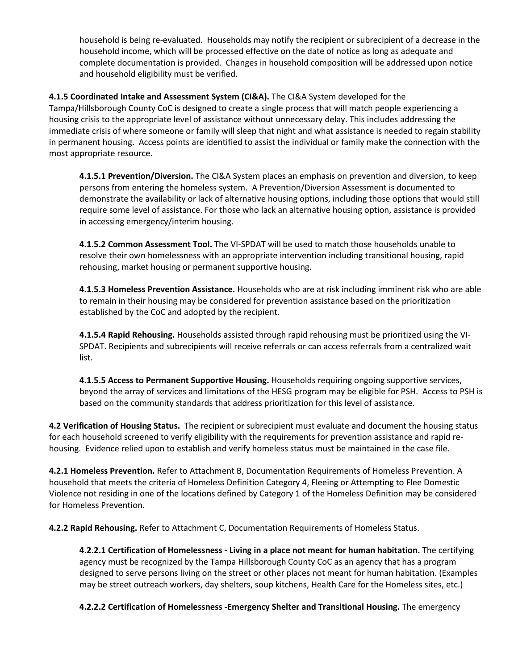household is being re-evaluated. Households may notify the recipient or subrecipient of a decrease in the household income, which will be processed effective on the date of notice as long as adequate and complete documentation is provided. Changes in household composition will be addressed upon notice and household eligibility must be verified.

**4.1.5 Coordinated Intake and Assessment System (CI&A).** The CI&A System developed for the Tampa/Hillsborough County CoC is designed to create a single process that will match people experiencing a housing crisis to the appropriate level of assistance without unnecessary delay. This includes addressing the immediate crisis of where someone or family will sleep that night and what assistance is needed to regain stability in permanent housing. Access points are identified to assist the individual or family make the connection with the most appropriate resource.

**4.1.5.1 Prevention/Diversion.** The CI&A System places an emphasis on prevention and diversion, to keep persons from entering the homeless system. A Prevention/Diversion Assessment is documented to demonstrate the availability or lack of alternative housing options, including those options that would still require some level of assistance. For those who lack an alternative housing option, assistance is provided in accessing emergency/interim housing.

**4.1.5.2 Common Assessment Tool.** The VI-SPDAT will be used to match those households unable to resolve their own homelessness with an appropriate intervention including transitional housing, rapid rehousing, market housing or permanent supportive housing.

**4.1.5.3 Homeless Prevention Assistance.** Households who are at risk including imminent risk who are able to remain in their housing may be considered for prevention assistance based on the prioritization established by the CoC and adopted by the recipient.

**4.1.5.4 Rapid Rehousing.** Households assisted through rapid rehousing must be prioritized using the VI-SPDAT. Recipients and subrecipients will receive referrals or can access referrals from a centralized wait list.

**4.1.5.5 Access to Permanent Supportive Housing.** Households requiring ongoing supportive services, beyond the array of services and limitations of the HESG program may be eligible for PSH. Access to PSH is based on the community standards that address prioritization for this level of assistance.

**4.2 Verification of Housing Status.** The recipient or subrecipient must evaluate and document the housing status for each household screened to verify eligibility with the requirements for prevention assistance and rapid rehousing. Evidence relied upon to establish and verify homeless status must be maintained in the case file.

**4.2.1 Homeless Prevention.** Refer to Attachment B, Documentation Requirements of Homeless Prevention. A household that meets the criteria of Homeless Definition Category 4, Fleeing or Attempting to Flee Domestic Violence not residing in one of the locations defined by Category 1 of the Homeless Definition may be considered for Homeless Prevention.

**4.2.2 Rapid Rehousing.** Refer to Attachment C, Documentation Requirements of Homeless Status.

**4.2.2.1 Certification of Homelessness - Living in a place not meant for human habitation.** The certifying agency must be recognized by the Tampa Hillsborough County CoC as an agency that has a program designed to serve persons living on the street or other places not meant for human habitation. (Examples may be street outreach workers, day shelters, soup kitchens, Health Care for the Homeless sites, etc.)

**4.2.2.2 Certification of Homelessness -Emergency Shelter and Transitional Housing.** The emergency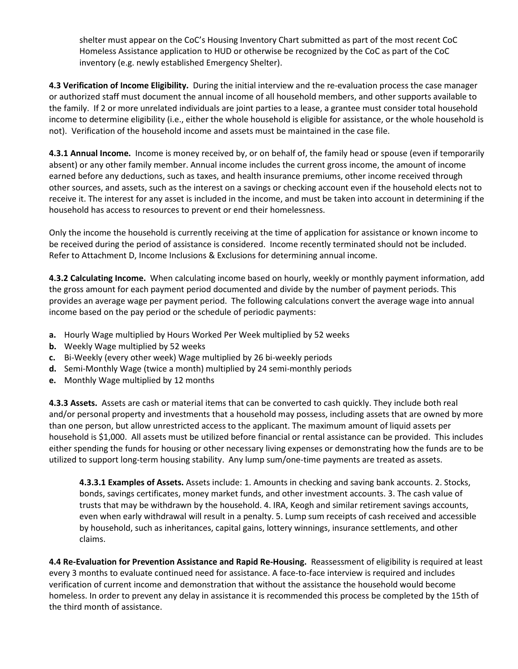shelter must appear on the CoC's Housing Inventory Chart submitted as part of the most recent CoC Homeless Assistance application to HUD or otherwise be recognized by the CoC as part of the CoC inventory (e.g. newly established Emergency Shelter).

**4.3 Verification of Income Eligibility.** During the initial interview and the re-evaluation process the case manager or authorized staff must document the annual income of all household members, and other supports available to the family. If 2 or more unrelated individuals are joint parties to a lease, a grantee must consider total household income to determine eligibility (i.e., either the whole household is eligible for assistance, or the whole household is not). Verification of the household income and assets must be maintained in the case file.

**4.3.1 Annual Income.** Income is money received by, or on behalf of, the family head or spouse (even if temporarily absent) or any other family member. Annual income includes the current gross income, the amount of income earned before any deductions, such as taxes, and health insurance premiums, other income received through other sources, and assets, such as the interest on a savings or checking account even if the household elects not to receive it. The interest for any asset is included in the income, and must be taken into account in determining if the household has access to resources to prevent or end their homelessness.

Only the income the household is currently receiving at the time of application for assistance or known income to be received during the period of assistance is considered. Income recently terminated should not be included. Refer to Attachment D, Income Inclusions & Exclusions for determining annual income.

**4.3.2 Calculating Income.** When calculating income based on hourly, weekly or monthly payment information, add the gross amount for each payment period documented and divide by the number of payment periods. This provides an average wage per payment period. The following calculations convert the average wage into annual income based on the pay period or the schedule of periodic payments:

- **a.** Hourly Wage multiplied by Hours Worked Per Week multiplied by 52 weeks
- **b.** Weekly Wage multiplied by 52 weeks
- **c.** Bi-Weekly (every other week) Wage multiplied by 26 bi-weekly periods
- **d.** Semi-Monthly Wage (twice a month) multiplied by 24 semi-monthly periods
- **e.** Monthly Wage multiplied by 12 months

**4.3.3 Assets.** Assets are cash or material items that can be converted to cash quickly. They include both real and/or personal property and investments that a household may possess, including assets that are owned by more than one person, but allow unrestricted access to the applicant. The maximum amount of liquid assets per household is \$1,000. All assets must be utilized before financial or rental assistance can be provided. This includes either spending the funds for housing or other necessary living expenses or demonstrating how the funds are to be utilized to support long-term housing stability. Any lump sum/one-time payments are treated as assets.

**4.3.3.1 Examples of Assets.** Assets include: 1. Amounts in checking and saving bank accounts. 2. Stocks, bonds, savings certificates, money market funds, and other investment accounts. 3. The cash value of trusts that may be withdrawn by the household. 4. IRA, Keogh and similar retirement savings accounts, even when early withdrawal will result in a penalty. 5. Lump sum receipts of cash received and accessible by household, such as inheritances, capital gains, lottery winnings, insurance settlements, and other claims.

**4.4 Re-Evaluation for Prevention Assistance and Rapid Re-Housing.** Reassessment of eligibility is required at least every 3 months to evaluate continued need for assistance. A face-to-face interview is required and includes verification of current income and demonstration that without the assistance the household would become homeless. In order to prevent any delay in assistance it is recommended this process be completed by the 15th of the third month of assistance.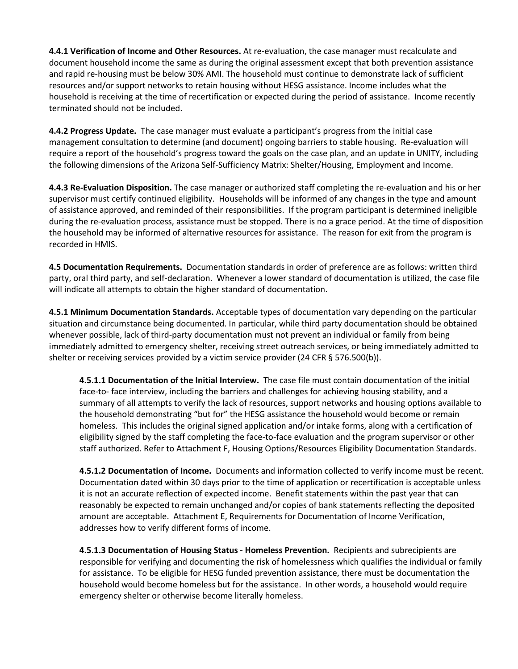**4.4.1 Verification of Income and Other Resources.** At re-evaluation, the case manager must recalculate and document household income the same as during the original assessment except that both prevention assistance and rapid re-housing must be below 30% AMI. The household must continue to demonstrate lack of sufficient resources and/or support networks to retain housing without HESG assistance. Income includes what the household is receiving at the time of recertification or expected during the period of assistance. Income recently terminated should not be included.

**4.4.2 Progress Update.** The case manager must evaluate a participant's progress from the initial case management consultation to determine (and document) ongoing barriers to stable housing. Re-evaluation will require a report of the household's progress toward the goals on the case plan, and an update in UNITY, including the following dimensions of the Arizona Self-Sufficiency Matrix: Shelter/Housing, Employment and Income.

**4.4.3 Re-Evaluation Disposition.** The case manager or authorized staff completing the re-evaluation and his or her supervisor must certify continued eligibility. Households will be informed of any changes in the type and amount of assistance approved, and reminded of their responsibilities. If the program participant is determined ineligible during the re-evaluation process, assistance must be stopped. There is no a grace period. At the time of disposition the household may be informed of alternative resources for assistance. The reason for exit from the program is recorded in HMIS.

**4.5 Documentation Requirements.** Documentation standards in order of preference are as follows: written third party, oral third party, and self-declaration. Whenever a lower standard of documentation is utilized, the case file will indicate all attempts to obtain the higher standard of documentation.

**4.5.1 Minimum Documentation Standards.** Acceptable types of documentation vary depending on the particular situation and circumstance being documented. In particular, while third party documentation should be obtained whenever possible, lack of third-party documentation must not prevent an individual or family from being immediately admitted to emergency shelter, receiving street outreach services, or being immediately admitted to shelter or receiving services provided by a victim service provider (24 CFR § 576.500(b)).

**4.5.1.1 Documentation of the Initial Interview.** The case file must contain documentation of the initial face-to- face interview, including the barriers and challenges for achieving housing stability, and a summary of all attempts to verify the lack of resources, support networks and housing options available to the household demonstrating "but for" the HESG assistance the household would become or remain homeless. This includes the original signed application and/or intake forms, along with a certification of eligibility signed by the staff completing the face-to-face evaluation and the program supervisor or other staff authorized. Refer to Attachment F, Housing Options/Resources Eligibility Documentation Standards.

**4.5.1.2 Documentation of Income.** Documents and information collected to verify income must be recent. Documentation dated within 30 days prior to the time of application or recertification is acceptable unless it is not an accurate reflection of expected income. Benefit statements within the past year that can reasonably be expected to remain unchanged and/or copies of bank statements reflecting the deposited amount are acceptable. Attachment E, Requirements for Documentation of Income Verification, addresses how to verify different forms of income.

**4.5.1.3 Documentation of Housing Status - Homeless Prevention.** Recipients and subrecipients are responsible for verifying and documenting the risk of homelessness which qualifies the individual or family for assistance. To be eligible for HESG funded prevention assistance, there must be documentation the household would become homeless but for the assistance. In other words, a household would require emergency shelter or otherwise become literally homeless.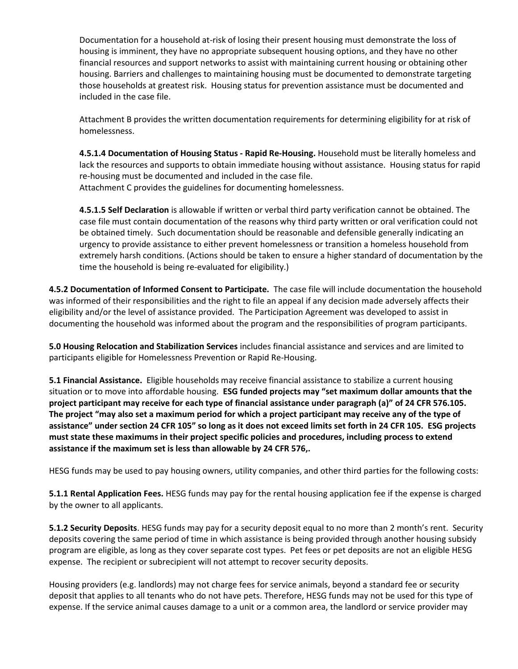Documentation for a household at-risk of losing their present housing must demonstrate the loss of housing is imminent, they have no appropriate subsequent housing options, and they have no other financial resources and support networks to assist with maintaining current housing or obtaining other housing. Barriers and challenges to maintaining housing must be documented to demonstrate targeting those households at greatest risk. Housing status for prevention assistance must be documented and included in the case file.

Attachment B provides the written documentation requirements for determining eligibility for at risk of homelessness.

**4.5.1.4 Documentation of Housing Status - Rapid Re-Housing.** Household must be literally homeless and lack the resources and supports to obtain immediate housing without assistance. Housing status for rapid re-housing must be documented and included in the case file. Attachment C provides the guidelines for documenting homelessness.

**4.5.1.5 Self Declaration** is allowable if written or verbal third party verification cannot be obtained. The case file must contain documentation of the reasons why third party written or oral verification could not be obtained timely. Such documentation should be reasonable and defensible generally indicating an urgency to provide assistance to either prevent homelessness or transition a homeless household from extremely harsh conditions. (Actions should be taken to ensure a higher standard of documentation by the time the household is being re-evaluated for eligibility.)

**4.5.2 Documentation of Informed Consent to Participate.** The case file will include documentation the household was informed of their responsibilities and the right to file an appeal if any decision made adversely affects their eligibility and/or the level of assistance provided. The Participation Agreement was developed to assist in documenting the household was informed about the program and the responsibilities of program participants.

**5.0 Housing Relocation and Stabilization Services** includes financial assistance and services and are limited to participants eligible for Homelessness Prevention or Rapid Re-Housing.

**5.1 Financial Assistance.** Eligible households may receive financial assistance to stabilize a current housing situation or to move into affordable housing. **ESG funded projects may "set maximum dollar amounts that the project participant may receive for each type of financial assistance under paragraph (a)" of 24 CFR 576.105. The project "may also set a maximum period for which a project participant may receive any of the type of assistance" under section 24 CFR 105" so long as it does not exceed limits set forth in 24 CFR 105. ESG projects must state these maximums in their project specific policies and procedures, including process to extend assistance if the maximum set is less than allowable by 24 CFR 576,.**

HESG funds may be used to pay housing owners, utility companies, and other third parties for the following costs:

**5.1.1 Rental Application Fees.** HESG funds may pay for the rental housing application fee if the expense is charged by the owner to all applicants.

**5.1.2 Security Deposits**. HESG funds may pay for a security deposit equal to no more than 2 month's rent. Security deposits covering the same period of time in which assistance is being provided through another housing subsidy program are eligible, as long as they cover separate cost types. Pet fees or pet deposits are not an eligible HESG expense. The recipient or subrecipient will not attempt to recover security deposits.

Housing providers (e.g. landlords) may not charge fees for service animals, beyond a standard fee or security deposit that applies to all tenants who do not have pets. Therefore, HESG funds may not be used for this type of expense. If the service animal causes damage to a unit or a common area, the landlord or service provider may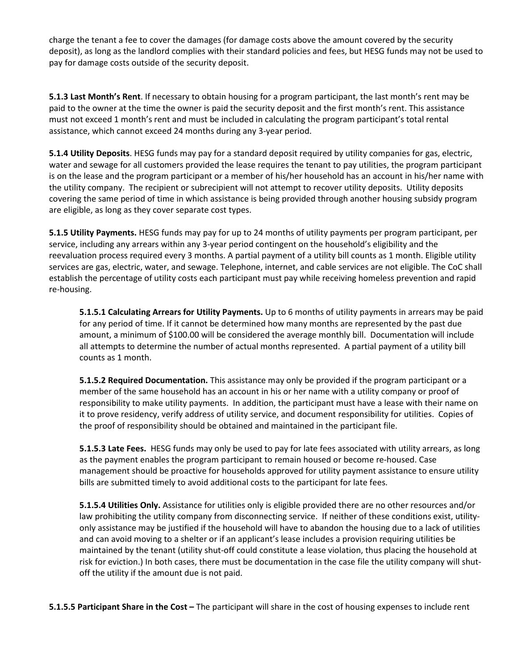charge the tenant a fee to cover the damages (for damage costs above the amount covered by the security deposit), as long as the landlord complies with their standard policies and fees, but HESG funds may not be used to pay for damage costs outside of the security deposit.

**5.1.3 Last Month's Rent**. If necessary to obtain housing for a program participant, the last month's rent may be paid to the owner at the time the owner is paid the security deposit and the first month's rent. This assistance must not exceed 1 month's rent and must be included in calculating the program participant's total rental assistance, which cannot exceed 24 months during any 3-year period.

**5.1.4 Utility Deposits**. HESG funds may pay for a standard deposit required by utility companies for gas, electric, water and sewage for all customers provided the lease requires the tenant to pay utilities, the program participant is on the lease and the program participant or a member of his/her household has an account in his/her name with the utility company. The recipient or subrecipient will not attempt to recover utility deposits. Utility deposits covering the same period of time in which assistance is being provided through another housing subsidy program are eligible, as long as they cover separate cost types.

**5.1.5 Utility Payments.** HESG funds may pay for up to 24 months of utility payments per program participant, per service, including any arrears within any 3-year period contingent on the household's eligibility and the reevaluation process required every 3 months. A partial payment of a utility bill counts as 1 month. Eligible utility services are gas, electric, water, and sewage. Telephone, internet, and cable services are not eligible. The CoC shall establish the percentage of utility costs each participant must pay while receiving homeless prevention and rapid re-housing.

**5.1.5.1 Calculating Arrears for Utility Payments.** Up to 6 months of utility payments in arrears may be paid for any period of time. If it cannot be determined how many months are represented by the past due amount, a minimum of \$100.00 will be considered the average monthly bill. Documentation will include all attempts to determine the number of actual months represented. A partial payment of a utility bill counts as 1 month.

**5.1.5.2 Required Documentation.** This assistance may only be provided if the program participant or a member of the same household has an account in his or her name with a utility company or proof of responsibility to make utility payments. In addition, the participant must have a lease with their name on it to prove residency, verify address of utility service, and document responsibility for utilities. Copies of the proof of responsibility should be obtained and maintained in the participant file.

**5.1.5.3 Late Fees.** HESG funds may only be used to pay for late fees associated with utility arrears, as long as the payment enables the program participant to remain housed or become re-housed. Case management should be proactive for households approved for utility payment assistance to ensure utility bills are submitted timely to avoid additional costs to the participant for late fees.

**5.1.5.4 Utilities Only.** Assistance for utilities only is eligible provided there are no other resources and/or law prohibiting the utility company from disconnecting service. If neither of these conditions exist, utilityonly assistance may be justified if the household will have to abandon the housing due to a lack of utilities and can avoid moving to a shelter or if an applicant's lease includes a provision requiring utilities be maintained by the tenant (utility shut-off could constitute a lease violation, thus placing the household at risk for eviction.) In both cases, there must be documentation in the case file the utility company will shutoff the utility if the amount due is not paid.

**5.1.5.5 Participant Share in the Cost –** The participant will share in the cost of housing expenses to include rent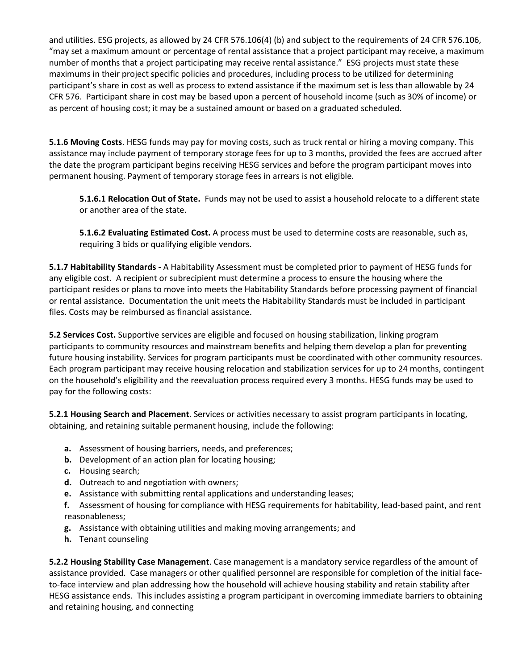and utilities. ESG projects, as allowed by 24 CFR 576.106(4) (b) and subject to the requirements of 24 CFR 576.106, "may set a maximum amount or percentage of rental assistance that a project participant may receive, a maximum number of months that a project participating may receive rental assistance." ESG projects must state these maximums in their project specific policies and procedures, including process to be utilized for determining participant's share in cost as well as process to extend assistance if the maximum set is less than allowable by 24 CFR 576. Participant share in cost may be based upon a percent of household income (such as 30% of income) or as percent of housing cost; it may be a sustained amount or based on a graduated scheduled.

**5.1.6 Moving Costs**. HESG funds may pay for moving costs, such as truck rental or hiring a moving company. This assistance may include payment of temporary storage fees for up to 3 months, provided the fees are accrued after the date the program participant begins receiving HESG services and before the program participant moves into permanent housing. Payment of temporary storage fees in arrears is not eligible.

**5.1.6.1 Relocation Out of State.** Funds may not be used to assist a household relocate to a different state or another area of the state.

**5.1.6.2 Evaluating Estimated Cost.** A process must be used to determine costs are reasonable, such as, requiring 3 bids or qualifying eligible vendors.

**5.1.7 Habitability Standards -** A Habitability Assessment must be completed prior to payment of HESG funds for any eligible cost. A recipient or subrecipient must determine a process to ensure the housing where the participant resides or plans to move into meets the Habitability Standards before processing payment of financial or rental assistance. Documentation the unit meets the Habitability Standards must be included in participant files. Costs may be reimbursed as financial assistance.

**5.2 Services Cost.** Supportive services are eligible and focused on housing stabilization, linking program participants to community resources and mainstream benefits and helping them develop a plan for preventing future housing instability. Services for program participants must be coordinated with other community resources. Each program participant may receive housing relocation and stabilization services for up to 24 months, contingent on the household's eligibility and the reevaluation process required every 3 months. HESG funds may be used to pay for the following costs:

**5.2.1 Housing Search and Placement**. Services or activities necessary to assist program participants in locating, obtaining, and retaining suitable permanent housing, include the following:

- **a.** Assessment of housing barriers, needs, and preferences;
- **b.** Development of an action plan for locating housing;
- **c.** Housing search;
- **d.** Outreach to and negotiation with owners;
- **e.** Assistance with submitting rental applications and understanding leases;
- **f.** Assessment of housing for compliance with HESG requirements for habitability, lead-based paint, and rent reasonableness;
- **g.** Assistance with obtaining utilities and making moving arrangements; and
- **h.** Tenant counseling

**5.2.2 Housing Stability Case Management**. Case management is a mandatory service regardless of the amount of assistance provided. Case managers or other qualified personnel are responsible for completion of the initial faceto-face interview and plan addressing how the household will achieve housing stability and retain stability after HESG assistance ends. This includes assisting a program participant in overcoming immediate barriers to obtaining and retaining housing, and connecting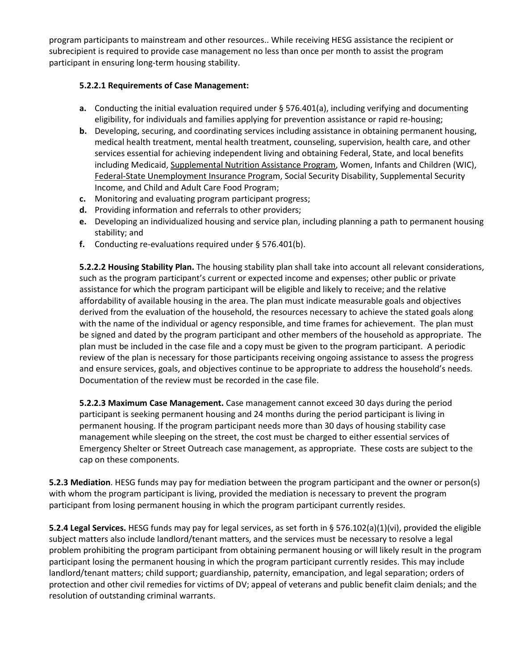program participants to mainstream and other resources.. While receiving HESG assistance the recipient or subrecipient is required to provide case management no less than once per month to assist the program participant in ensuring long-term housing stability.

#### **5.2.2.1 Requirements of Case Management:**

- **a.** Conducting the initial evaluation required under § 576.401(a), including verifying and documenting eligibility, for individuals and families applying for prevention assistance or rapid re-housing;
- **b.** Developing, securing, and coordinating services including assistance in obtaining permanent housing, medical health treatment, mental health treatment, counseling, supervision, health care, and other services essential for achieving independent living and obtaining Federal, State, and local benefits including Medicaid, Supplemental Nutrition Assistance Program, Women, Infants and Children (WIC), Federal-State Unemployment Insurance Program, Social Security Disability, Supplemental Security Income, and Child and Adult Care Food Program;
- **c.** Monitoring and evaluating program participant progress;
- **d.** Providing information and referrals to other providers;
- **e.** Developing an individualized housing and service plan, including planning a path to permanent housing stability; and
- **f.** Conducting re-evaluations required under § 576.401(b).

**5.2.2.2 Housing Stability Plan.** The housing stability plan shall take into account all relevant considerations, such as the program participant's current or expected income and expenses; other public or private assistance for which the program participant will be eligible and likely to receive; and the relative affordability of available housing in the area. The plan must indicate measurable goals and objectives derived from the evaluation of the household, the resources necessary to achieve the stated goals along with the name of the individual or agency responsible, and time frames for achievement. The plan must be signed and dated by the program participant and other members of the household as appropriate. The plan must be included in the case file and a copy must be given to the program participant. A periodic review of the plan is necessary for those participants receiving ongoing assistance to assess the progress and ensure services, goals, and objectives continue to be appropriate to address the household's needs. Documentation of the review must be recorded in the case file.

**5.2.2.3 Maximum Case Management.** Case management cannot exceed 30 days during the period participant is seeking permanent housing and 24 months during the period participant is living in permanent housing. If the program participant needs more than 30 days of housing stability case management while sleeping on the street, the cost must be charged to either essential services of Emergency Shelter or Street Outreach case management, as appropriate. These costs are subject to the cap on these components.

**5.2.3 Mediation**. HESG funds may pay for mediation between the program participant and the owner or person(s) with whom the program participant is living, provided the mediation is necessary to prevent the program participant from losing permanent housing in which the program participant currently resides.

**5.2.4 Legal Services.** HESG funds may pay for legal services, as set forth in § 576.102(a)(1)(vi), provided the eligible subject matters also include landlord/tenant matters, and the services must be necessary to resolve a legal problem prohibiting the program participant from obtaining permanent housing or will likely result in the program participant losing the permanent housing in which the program participant currently resides. This may include landlord/tenant matters; child support; guardianship, paternity, emancipation, and legal separation; orders of protection and other civil remedies for victims of DV; appeal of veterans and public benefit claim denials; and the resolution of outstanding criminal warrants.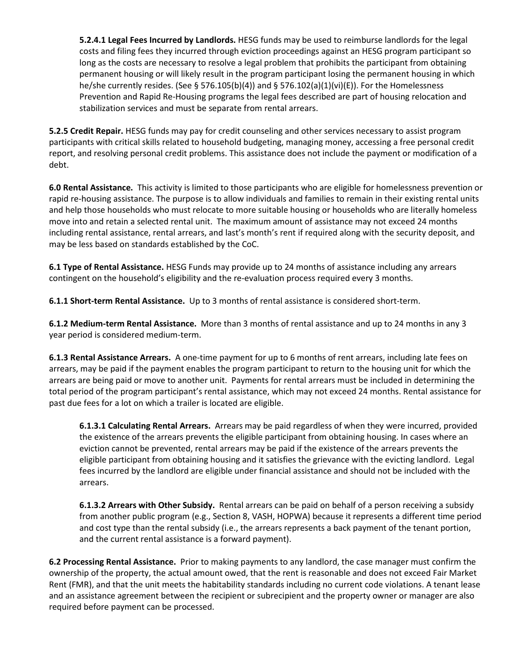**5.2.4.1 Legal Fees Incurred by Landlords.** HESG funds may be used to reimburse landlords for the legal costs and filing fees they incurred through eviction proceedings against an HESG program participant so long as the costs are necessary to resolve a legal problem that prohibits the participant from obtaining permanent housing or will likely result in the program participant losing the permanent housing in which he/she currently resides. (See § 576.105(b)(4)) and § 576.102(a)(1)(vi)(E)). For the Homelessness Prevention and Rapid Re-Housing programs the legal fees described are part of housing relocation and stabilization services and must be separate from rental arrears.

**5.2.5 Credit Repair.** HESG funds may pay for credit counseling and other services necessary to assist program participants with critical skills related to household budgeting, managing money, accessing a free personal credit report, and resolving personal credit problems. This assistance does not include the payment or modification of a debt.

**6.0 Rental Assistance.** This activity is limited to those participants who are eligible for homelessness prevention or rapid re-housing assistance. The purpose is to allow individuals and families to remain in their existing rental units and help those households who must relocate to more suitable housing or households who are literally homeless move into and retain a selected rental unit. The maximum amount of assistance may not exceed 24 months including rental assistance, rental arrears, and last's month's rent if required along with the security deposit, and may be less based on standards established by the CoC.

**6.1 Type of Rental Assistance.** HESG Funds may provide up to 24 months of assistance including any arrears contingent on the household's eligibility and the re-evaluation process required every 3 months.

**6.1.1 Short-term Rental Assistance.** Up to 3 months of rental assistance is considered short-term.

**6.1.2 Medium-term Rental Assistance.** More than 3 months of rental assistance and up to 24 months in any 3 year period is considered medium-term.

**6.1.3 Rental Assistance Arrears.** A one-time payment for up to 6 months of rent arrears, including late fees on arrears, may be paid if the payment enables the program participant to return to the housing unit for which the arrears are being paid or move to another unit. Payments for rental arrears must be included in determining the total period of the program participant's rental assistance, which may not exceed 24 months. Rental assistance for past due fees for a lot on which a trailer is located are eligible.

**6.1.3.1 Calculating Rental Arrears.** Arrears may be paid regardless of when they were incurred, provided the existence of the arrears prevents the eligible participant from obtaining housing. In cases where an eviction cannot be prevented, rental arrears may be paid if the existence of the arrears prevents the eligible participant from obtaining housing and it satisfies the grievance with the evicting landlord. Legal fees incurred by the landlord are eligible under financial assistance and should not be included with the arrears.

**6.1.3.2 Arrears with Other Subsidy.** Rental arrears can be paid on behalf of a person receiving a subsidy from another public program (e.g., Section 8, VASH, HOPWA) because it represents a different time period and cost type than the rental subsidy (i.e., the arrears represents a back payment of the tenant portion, and the current rental assistance is a forward payment).

**6.2 Processing Rental Assistance.** Prior to making payments to any landlord, the case manager must confirm the ownership of the property, the actual amount owed, that the rent is reasonable and does not exceed Fair Market Rent (FMR), and that the unit meets the habitability standards including no current code violations. A tenant lease and an assistance agreement between the recipient or subrecipient and the property owner or manager are also required before payment can be processed.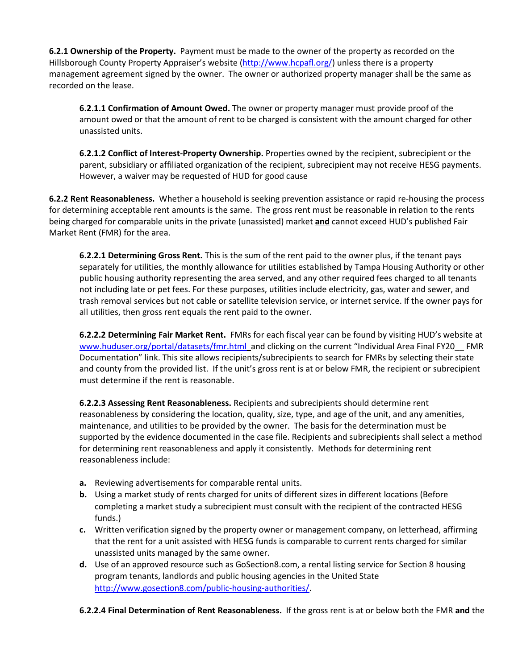**6.2.1 Ownership of the Property.** Payment must be made to the owner of the property as recorded on the Hillsborough County Property Appraiser's website (http://www.hcpafl.org/) unless there is a property management agreement signed by the owner. The owner or authorized property manager shall be the same as recorded on the lease.

**6.2.1.1 Confirmation of Amount Owed.** The owner or property manager must provide proof of the amount owed or that the amount of rent to be charged is consistent with the amount charged for other unassisted units.

**6.2.1.2 Conflict of Interest-Property Ownership.** Properties owned by the recipient, subrecipient or the parent, subsidiary or affiliated organization of the recipient, subrecipient may not receive HESG payments. However, a waiver may be requested of HUD for good cause

**6.2.2 Rent Reasonableness.** Whether a household is seeking prevention assistance or rapid re-housing the process for determining acceptable rent amounts is the same. The gross rent must be reasonable in relation to the rents being charged for comparable units in the private (unassisted) market **and** cannot exceed HUD's published Fair Market Rent (FMR) for the area.

**6.2.2.1 Determining Gross Rent.** This is the sum of the rent paid to the owner plus, if the tenant pays separately for utilities, the monthly allowance for utilities established by Tampa Housing Authority or other public housing authority representing the area served, and any other required fees charged to all tenants not including late or pet fees. For these purposes, utilities include electricity, gas, water and sewer, and trash removal services but not cable or satellite television service, or internet service. If the owner pays for all utilities, then gross rent equals the rent paid to the owner.

**6.2.2.2 Determining Fair Market Rent.** FMRs for each fiscal year can be found by visiting HUD's website at www.huduser.org/portal/datasets/fmr.html and clicking on the current "Individual Area Final FY20 FMR Documentation" link. This site allows recipients/subrecipients to search for FMRs by selecting their state and county from the provided list. If the unit's gross rent is at or below FMR, the recipient or subrecipient must determine if the rent is reasonable.

**6.2.2.3 Assessing Rent Reasonableness.** Recipients and subrecipients should determine rent reasonableness by considering the location, quality, size, type, and age of the unit, and any amenities, maintenance, and utilities to be provided by the owner. The basis for the determination must be supported by the evidence documented in the case file. Recipients and subrecipients shall select a method for determining rent reasonableness and apply it consistently. Methods for determining rent reasonableness include:

- **a.** Reviewing advertisements for comparable rental units.
- **b.** Using a market study of rents charged for units of different sizes in different locations (Before completing a market study a subrecipient must consult with the recipient of the contracted HESG funds.)
- **c.** Written verification signed by the property owner or management company, on letterhead, affirming that the rent for a unit assisted with HESG funds is comparable to current rents charged for similar unassisted units managed by the same owner.
- **d.** Use of an approved resource such as GoSection8.com, a rental listing service for Section 8 housing program tenants, landlords and public housing agencies in the United State http://www.gosection8.com/public-housing-authorities/.

**6.2.2.4 Final Determination of Rent Reasonableness.** If the gross rent is at or below both the FMR **and** the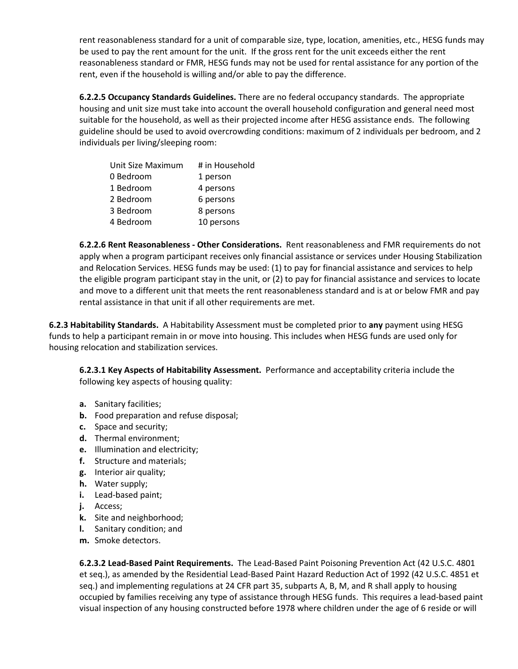rent reasonableness standard for a unit of comparable size, type, location, amenities, etc., HESG funds may be used to pay the rent amount for the unit. If the gross rent for the unit exceeds either the rent reasonableness standard or FMR, HESG funds may not be used for rental assistance for any portion of the rent, even if the household is willing and/or able to pay the difference.

**6.2.2.5 Occupancy Standards Guidelines.** There are no federal occupancy standards. The appropriate housing and unit size must take into account the overall household configuration and general need most suitable for the household, as well as their projected income after HESG assistance ends. The following guideline should be used to avoid overcrowding conditions: maximum of 2 individuals per bedroom, and 2 individuals per living/sleeping room:

| Unit Size Maximum | # in Household |
|-------------------|----------------|
| 0 Bedroom         | 1 person       |
| 1 Bedroom         | 4 persons      |
| 2 Bedroom         | 6 persons      |
| 3 Bedroom         | 8 persons      |
| 4 Bedroom         | 10 persons     |

**6.2.2.6 Rent Reasonableness - Other Considerations.** Rent reasonableness and FMR requirements do not apply when a program participant receives only financial assistance or services under Housing Stabilization and Relocation Services. HESG funds may be used: (1) to pay for financial assistance and services to help the eligible program participant stay in the unit, or (2) to pay for financial assistance and services to locate and move to a different unit that meets the rent reasonableness standard and is at or below FMR and pay rental assistance in that unit if all other requirements are met.

**6.2.3 Habitability Standards.** A Habitability Assessment must be completed prior to **any** payment using HESG funds to help a participant remain in or move into housing. This includes when HESG funds are used only for housing relocation and stabilization services.

**6.2.3.1 Key Aspects of Habitability Assessment.** Performance and acceptability criteria include the following key aspects of housing quality:

- **a.** Sanitary facilities;
- **b.** Food preparation and refuse disposal;
- **c.** Space and security;
- **d.** Thermal environment;
- **e.** Illumination and electricity;
- **f.** Structure and materials;
- **g.** Interior air quality;
- **h.** Water supply;
- **i.** Lead-based paint;
- **j.** Access;
- **k.** Site and neighborhood;
- **l.** Sanitary condition; and
- **m.** Smoke detectors.

**6.2.3.2 Lead-Based Paint Requirements.** The Lead-Based Paint Poisoning Prevention Act (42 U.S.C. 4801 et seq.), as amended by the Residential Lead-Based Paint Hazard Reduction Act of 1992 (42 U.S.C. 4851 et seq.) and implementing regulations at 24 CFR part 35, subparts A, B, M, and R shall apply to housing occupied by families receiving any type of assistance through HESG funds. This requires a lead-based paint visual inspection of any housing constructed before 1978 where children under the age of 6 reside or will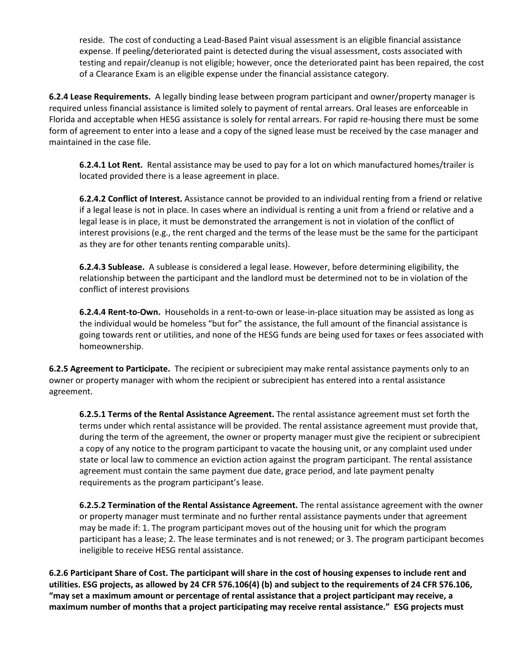reside. The cost of conducting a Lead-Based Paint visual assessment is an eligible financial assistance expense. If peeling/deteriorated paint is detected during the visual assessment, costs associated with testing and repair/cleanup is not eligible; however, once the deteriorated paint has been repaired, the cost of a Clearance Exam is an eligible expense under the financial assistance category.

**6.2.4 Lease Requirements.** A legally binding lease between program participant and owner/property manager is required unless financial assistance is limited solely to payment of rental arrears. Oral leases are enforceable in Florida and acceptable when HESG assistance is solely for rental arrears. For rapid re-housing there must be some form of agreement to enter into a lease and a copy of the signed lease must be received by the case manager and maintained in the case file.

**6.2.4.1 Lot Rent.** Rental assistance may be used to pay for a lot on which manufactured homes/trailer is located provided there is a lease agreement in place.

**6.2.4.2 Conflict of Interest.** Assistance cannot be provided to an individual renting from a friend or relative if a legal lease is not in place. In cases where an individual is renting a unit from a friend or relative and a legal lease is in place, it must be demonstrated the arrangement is not in violation of the conflict of interest provisions (e.g., the rent charged and the terms of the lease must be the same for the participant as they are for other tenants renting comparable units).

**6.2.4.3 Sublease.** A sublease is considered a legal lease. However, before determining eligibility, the relationship between the participant and the landlord must be determined not to be in violation of the conflict of interest provisions

**6.2.4.4 Rent-to-Own.** Households in a rent-to-own or lease-in-place situation may be assisted as long as the individual would be homeless "but for" the assistance, the full amount of the financial assistance is going towards rent or utilities, and none of the HESG funds are being used for taxes or fees associated with homeownership.

**6.2.5 Agreement to Participate.** The recipient or subrecipient may make rental assistance payments only to an owner or property manager with whom the recipient or subrecipient has entered into a rental assistance agreement.

**6.2.5.1 Terms of the Rental Assistance Agreement.** The rental assistance agreement must set forth the terms under which rental assistance will be provided. The rental assistance agreement must provide that, during the term of the agreement, the owner or property manager must give the recipient or subrecipient a copy of any notice to the program participant to vacate the housing unit, or any complaint used under state or local law to commence an eviction action against the program participant. The rental assistance agreement must contain the same payment due date, grace period, and late payment penalty requirements as the program participant's lease.

**6.2.5.2 Termination of the Rental Assistance Agreement.** The rental assistance agreement with the owner or property manager must terminate and no further rental assistance payments under that agreement may be made if: 1. The program participant moves out of the housing unit for which the program participant has a lease; 2. The lease terminates and is not renewed; or 3. The program participant becomes ineligible to receive HESG rental assistance.

**6.2.6 Participant Share of Cost. The participant will share in the cost of housing expenses to include rent and utilities. ESG projects, as allowed by 24 CFR 576.106(4) (b) and subject to the requirements of 24 CFR 576.106, "may set a maximum amount or percentage of rental assistance that a project participant may receive, a maximum number of months that a project participating may receive rental assistance." ESG projects must**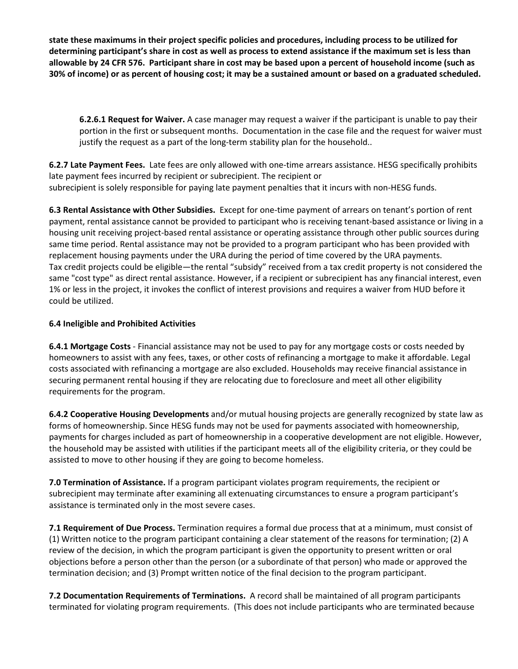**state these maximums in their project specific policies and procedures, including process to be utilized for determining participant's share in cost as well as process to extend assistance if the maximum set is less than allowable by 24 CFR 576. Participant share in cost may be based upon a percent of household income (such as 30% of income) or as percent of housing cost; it may be a sustained amount or based on a graduated scheduled.** 

**6.2.6.1 Request for Waiver.** A case manager may request a waiver if the participant is unable to pay their portion in the first or subsequent months. Documentation in the case file and the request for waiver must justify the request as a part of the long-term stability plan for the household..

**6.2.7 Late Payment Fees.** Late fees are only allowed with one-time arrears assistance. HESG specifically prohibits late payment fees incurred by recipient or subrecipient. The recipient or subrecipient is solely responsible for paying late payment penalties that it incurs with non-HESG funds.

**6.3 Rental Assistance with Other Subsidies.** Except for one-time payment of arrears on tenant's portion of rent payment, rental assistance cannot be provided to participant who is receiving tenant-based assistance or living in a housing unit receiving project-based rental assistance or operating assistance through other public sources during same time period. Rental assistance may not be provided to a program participant who has been provided with replacement housing payments under the URA during the period of time covered by the URA payments. Tax credit projects could be eligible—the rental "subsidy" received from a tax credit property is not considered the same "cost type" as direct rental assistance. However, if a recipient or subrecipient has any financial interest, even 1% or less in the project, it invokes the conflict of interest provisions and requires a waiver from HUD before it could be utilized.

#### **6.4 Ineligible and Prohibited Activities**

**6.4.1 Mortgage Costs** - Financial assistance may not be used to pay for any mortgage costs or costs needed by homeowners to assist with any fees, taxes, or other costs of refinancing a mortgage to make it affordable. Legal costs associated with refinancing a mortgage are also excluded. Households may receive financial assistance in securing permanent rental housing if they are relocating due to foreclosure and meet all other eligibility requirements for the program.

**6.4.2 Cooperative Housing Developments** and/or mutual housing projects are generally recognized by state law as forms of homeownership. Since HESG funds may not be used for payments associated with homeownership, payments for charges included as part of homeownership in a cooperative development are not eligible. However, the household may be assisted with utilities if the participant meets all of the eligibility criteria, or they could be assisted to move to other housing if they are going to become homeless.

**7.0 Termination of Assistance.** If a program participant violates program requirements, the recipient or subrecipient may terminate after examining all extenuating circumstances to ensure a program participant's assistance is terminated only in the most severe cases.

**7.1 Requirement of Due Process.** Termination requires a formal due process that at a minimum, must consist of (1) Written notice to the program participant containing a clear statement of the reasons for termination; (2) A review of the decision, in which the program participant is given the opportunity to present written or oral objections before a person other than the person (or a subordinate of that person) who made or approved the termination decision; and (3) Prompt written notice of the final decision to the program participant.

**7.2 Documentation Requirements of Terminations.** A record shall be maintained of all program participants terminated for violating program requirements. (This does not include participants who are terminated because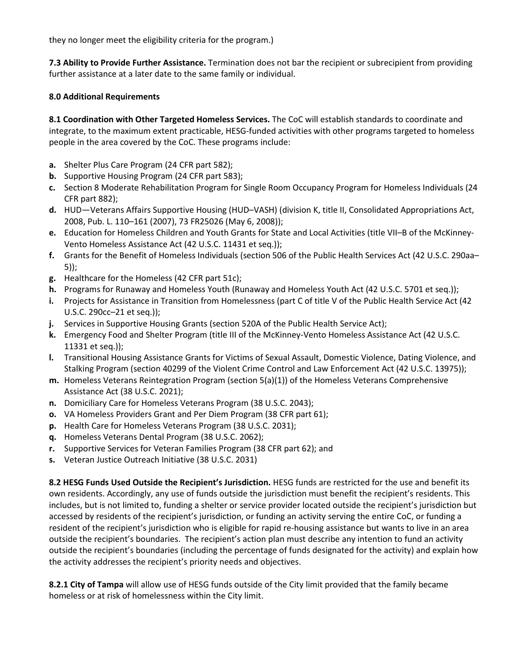they no longer meet the eligibility criteria for the program.)

**7.3 Ability to Provide Further Assistance.** Termination does not bar the recipient or subrecipient from providing further assistance at a later date to the same family or individual.

#### **8.0 Additional Requirements**

**8.1 Coordination with Other Targeted Homeless Services.** The CoC will establish standards to coordinate and integrate, to the maximum extent practicable, HESG-funded activities with other programs targeted to homeless people in the area covered by the CoC. These programs include:

- **a.** Shelter Plus Care Program (24 CFR part 582);
- **b.** Supportive Housing Program (24 CFR part 583);
- **c.** Section 8 Moderate Rehabilitation Program for Single Room Occupancy Program for Homeless Individuals (24 CFR part 882);
- **d.** HUD—Veterans Affairs Supportive Housing (HUD–VASH) (division K, title II, Consolidated Appropriations Act, 2008, Pub. L. 110–161 (2007), 73 FR25026 (May 6, 2008));
- **e.** Education for Homeless Children and Youth Grants for State and Local Activities (title VII–B of the McKinney-Vento Homeless Assistance Act (42 U.S.C. 11431 et seq.));
- **f.** Grants for the Benefit of Homeless Individuals (section 506 of the Public Health Services Act (42 U.S.C. 290aa– 5));
- **g.** Healthcare for the Homeless (42 CFR part 51c);
- **h.** Programs for Runaway and Homeless Youth (Runaway and Homeless Youth Act (42 U.S.C. 5701 et seq.));
- **i.** Projects for Assistance in Transition from Homelessness (part C of title V of the Public Health Service Act (42 U.S.C. 290cc–21 et seq.));
- **j.** Services in Supportive Housing Grants (section 520A of the Public Health Service Act);
- **k.** Emergency Food and Shelter Program (title III of the McKinney-Vento Homeless Assistance Act (42 U.S.C. 11331 et seq.));
- **l.** Transitional Housing Assistance Grants for Victims of Sexual Assault, Domestic Violence, Dating Violence, and Stalking Program (section 40299 of the Violent Crime Control and Law Enforcement Act (42 U.S.C. 13975));
- **m.** Homeless Veterans Reintegration Program (section 5(a)(1)) of the Homeless Veterans Comprehensive Assistance Act (38 U.S.C. 2021);
- **n.** Domiciliary Care for Homeless Veterans Program (38 U.S.C. 2043);
- **o.** VA Homeless Providers Grant and Per Diem Program (38 CFR part 61);
- **p.** Health Care for Homeless Veterans Program (38 U.S.C. 2031);
- **q.** Homeless Veterans Dental Program (38 U.S.C. 2062);
- **r.** Supportive Services for Veteran Families Program (38 CFR part 62); and
- **s.** Veteran Justice Outreach Initiative (38 U.S.C. 2031)

**8.2 HESG Funds Used Outside the Recipient's Jurisdiction.** HESG funds are restricted for the use and benefit its own residents. Accordingly, any use of funds outside the jurisdiction must benefit the recipient's residents. This includes, but is not limited to, funding a shelter or service provider located outside the recipient's jurisdiction but accessed by residents of the recipient's jurisdiction, or funding an activity serving the entire CoC, or funding a resident of the recipient's jurisdiction who is eligible for rapid re-housing assistance but wants to live in an area outside the recipient's boundaries. The recipient's action plan must describe any intention to fund an activity outside the recipient's boundaries (including the percentage of funds designated for the activity) and explain how the activity addresses the recipient's priority needs and objectives.

**8.2.1 City of Tampa** will allow use of HESG funds outside of the City limit provided that the family became homeless or at risk of homelessness within the City limit.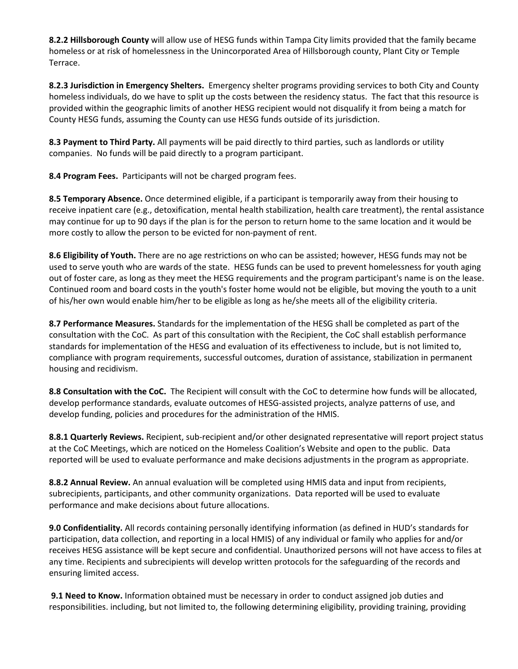**8.2.2 Hillsborough County** will allow use of HESG funds within Tampa City limits provided that the family became homeless or at risk of homelessness in the Unincorporated Area of Hillsborough county, Plant City or Temple Terrace.

**8.2.3 Jurisdiction in Emergency Shelters.** Emergency shelter programs providing services to both City and County homeless individuals, do we have to split up the costs between the residency status. The fact that this resource is provided within the geographic limits of another HESG recipient would not disqualify it from being a match for County HESG funds, assuming the County can use HESG funds outside of its jurisdiction.

**8.3 Payment to Third Party.** All payments will be paid directly to third parties, such as landlords or utility companies. No funds will be paid directly to a program participant.

**8.4 Program Fees.** Participants will not be charged program fees.

**8.5 Temporary Absence.** Once determined eligible, if a participant is temporarily away from their housing to receive inpatient care (e.g., detoxification, mental health stabilization, health care treatment), the rental assistance may continue for up to 90 days if the plan is for the person to return home to the same location and it would be more costly to allow the person to be evicted for non-payment of rent.

**8.6 Eligibility of Youth.** There are no age restrictions on who can be assisted; however, HESG funds may not be used to serve youth who are wards of the state. HESG funds can be used to prevent homelessness for youth aging out of foster care, as long as they meet the HESG requirements and the program participant's name is on the lease. Continued room and board costs in the youth's foster home would not be eligible, but moving the youth to a unit of his/her own would enable him/her to be eligible as long as he/she meets all of the eligibility criteria.

**8.7 Performance Measures.** Standards for the implementation of the HESG shall be completed as part of the consultation with the CoC. As part of this consultation with the Recipient, the CoC shall establish performance standards for implementation of the HESG and evaluation of its effectiveness to include, but is not limited to, compliance with program requirements, successful outcomes, duration of assistance, stabilization in permanent housing and recidivism.

**8.8 Consultation with the CoC.** The Recipient will consult with the CoC to determine how funds will be allocated, develop performance standards, evaluate outcomes of HESG-assisted projects, analyze patterns of use, and develop funding, policies and procedures for the administration of the HMIS.

**8.8.1 Quarterly Reviews.** Recipient, sub-recipient and/or other designated representative will report project status at the CoC Meetings, which are noticed on the Homeless Coalition's Website and open to the public. Data reported will be used to evaluate performance and make decisions adjustments in the program as appropriate.

**8.8.2 Annual Review.** An annual evaluation will be completed using HMIS data and input from recipients, subrecipients, participants, and other community organizations. Data reported will be used to evaluate performance and make decisions about future allocations.

**9.0 Confidentiality.** All records containing personally identifying information (as defined in HUD's standards for participation, data collection, and reporting in a local HMIS) of any individual or family who applies for and/or receives HESG assistance will be kept secure and confidential. Unauthorized persons will not have access to files at any time. Recipients and subrecipients will develop written protocols for the safeguarding of the records and ensuring limited access.

**9.1 Need to Know.** Information obtained must be necessary in order to conduct assigned job duties and responsibilities. including, but not limited to, the following determining eligibility, providing training, providing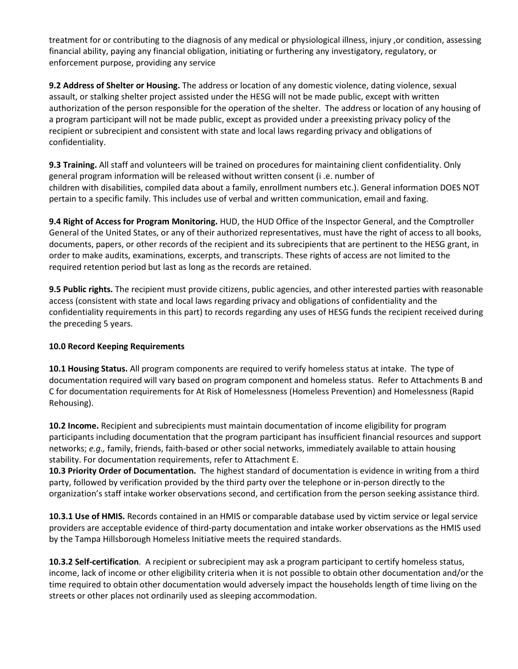treatment for or contributing to the diagnosis of any medical or physiological illness, injury ,or condition, assessing financial ability, paying any financial obligation, initiating or furthering any investigatory, regulatory, or enforcement purpose, providing any service

**9.2 Address of Shelter or Housing.** The address or location of any domestic violence, dating violence, sexual assault, or stalking shelter project assisted under the HESG will not be made public, except with written authorization of the person responsible for the operation of the shelter. The address or location of any housing of a program participant will not be made public, except as provided under a preexisting privacy policy of the recipient or subrecipient and consistent with state and local laws regarding privacy and obligations of confidentiality.

**9.3 Training.** All staff and volunteers will be trained on procedures for maintaining client confidentiality. Only general program information will be released without written consent (i .e. number of children with disabilities, compiled data about a family, enrollment numbers etc.). General information DOES NOT pertain to a specific family. This includes use of verbal and written communication, email and faxing.

**9.4 Right of Access for Program Monitoring.** HUD, the HUD Office of the Inspector General, and the Comptroller General of the United States, or any of their authorized representatives, must have the right of access to all books, documents, papers, or other records of the recipient and its subrecipients that are pertinent to the HESG grant, in order to make audits, examinations, excerpts, and transcripts. These rights of access are not limited to the required retention period but last as long as the records are retained.

**9.5 Public rights.** The recipient must provide citizens, public agencies, and other interested parties with reasonable access (consistent with state and local laws regarding privacy and obligations of confidentiality and the confidentiality requirements in this part) to records regarding any uses of HESG funds the recipient received during the preceding 5 years.

#### **10.0 Record Keeping Requirements**

**10.1 Housing Status.** All program components are required to verify homeless status at intake. The type of documentation required will vary based on program component and homeless status. Refer to Attachments B and C for documentation requirements for At Risk of Homelessness (Homeless Prevention) and Homelessness (Rapid Rehousing).

**10.2 Income.** Recipient and subrecipients must maintain documentation of income eligibility for program participants including documentation that the program participant has insufficient financial resources and support networks; *e.g.,* family, friends, faith-based or other social networks, immediately available to attain housing stability. For documentation requirements, refer to Attachment E.

**10.3 Priority Order of Documentation.** The highest standard of documentation is evidence in writing from a third party, followed by verification provided by the third party over the telephone or in-person directly to the organization's staff intake worker observations second, and certification from the person seeking assistance third.

**10.3.1 Use of HMIS.** Records contained in an HMIS or comparable database used by victim service or legal service providers are acceptable evidence of third-party documentation and intake worker observations as the HMIS used by the Tampa Hillsborough Homeless Initiative meets the required standards.

**10.3.2 Self-certification**. A recipient or subrecipient may ask a program participant to certify homeless status, income, lack of income or other eligibility criteria when it is not possible to obtain other documentation and/or the time required to obtain other documentation would adversely impact the households length of time living on the streets or other places not ordinarily used as sleeping accommodation.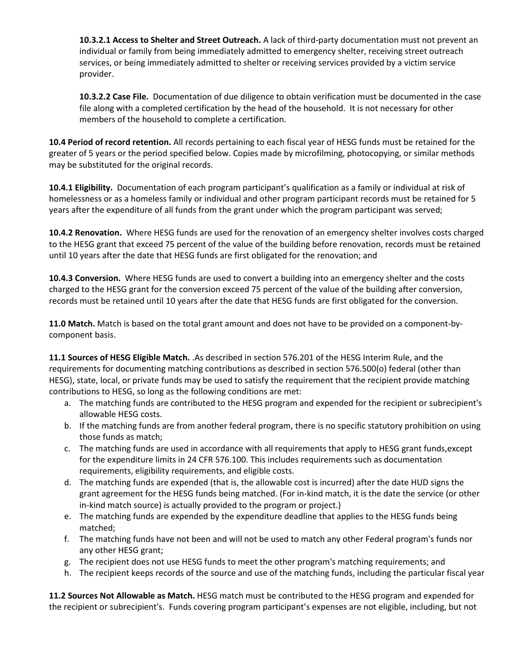**10.3.2.1 Access to Shelter and Street Outreach.** A lack of third-party documentation must not prevent an individual or family from being immediately admitted to emergency shelter, receiving street outreach services, or being immediately admitted to shelter or receiving services provided by a victim service provider.

**10.3.2.2 Case File.** Documentation of due diligence to obtain verification must be documented in the case file along with a completed certification by the head of the household. It is not necessary for other members of the household to complete a certification.

**10.4 Period of record retention.** All records pertaining to each fiscal year of HESG funds must be retained for the greater of 5 years or the period specified below. Copies made by microfilming, photocopying, or similar methods may be substituted for the original records.

**10.4.1 Eligibility.** Documentation of each program participant's qualification as a family or individual at risk of homelessness or as a homeless family or individual and other program participant records must be retained for 5 years after the expenditure of all funds from the grant under which the program participant was served;

**10.4.2 Renovation.** Where HESG funds are used for the renovation of an emergency shelter involves costs charged to the HESG grant that exceed 75 percent of the value of the building before renovation, records must be retained until 10 years after the date that HESG funds are first obligated for the renovation; and

**10.4.3 Conversion.** Where HESG funds are used to convert a building into an emergency shelter and the costs charged to the HESG grant for the conversion exceed 75 percent of the value of the building after conversion, records must be retained until 10 years after the date that HESG funds are first obligated for the conversion.

**11.0 Match.** Match is based on the total grant amount and does not have to be provided on a component-bycomponent basis.

**11.1 Sources of HESG Eligible Match.** .As described in section 576.201 of the HESG Interim Rule, and the requirements for documenting matching contributions as described in section 576.500(o) federal (other than HESG), state, local, or private funds may be used to satisfy the requirement that the recipient provide matching contributions to HESG, so long as the following conditions are met:

- a. The matching funds are contributed to the HESG program and expended for the recipient or subrecipient's allowable HESG costs.
- b. If the matching funds are from another federal program, there is no specific statutory prohibition on using those funds as match;
- c. The matching funds are used in accordance with all requirements that apply to HESG grant funds,except for the expenditure limits in 24 CFR 576.100. This includes requirements such as documentation requirements, eligibility requirements, and eligible costs.
- d. The matching funds are expended (that is, the allowable cost is incurred) after the date HUD signs the grant agreement for the HESG funds being matched. (For in-kind match, it is the date the service (or other in-kind match source) is actually provided to the program or project.)
- e. The matching funds are expended by the expenditure deadline that applies to the HESG funds being matched;
- f. The matching funds have not been and will not be used to match any other Federal program's funds nor any other HESG grant;
- g. The recipient does not use HESG funds to meet the other program's matching requirements; and
- h. The recipient keeps records of the source and use of the matching funds, including the particular fiscal year

**11.2 Sources Not Allowable as Match.** HESG match must be contributed to the HESG program and expended for the recipient or subrecipient's. Funds covering program participant's expenses are not eligible, including, but not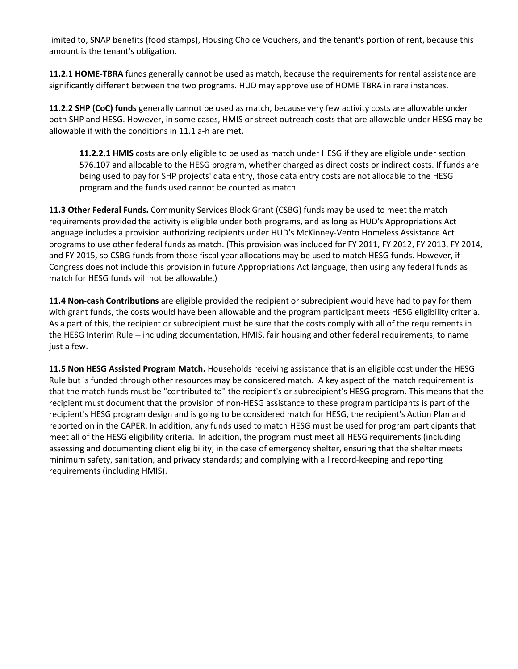limited to, SNAP benefits (food stamps), Housing Choice Vouchers, and the tenant's portion of rent, because this amount is the tenant's obligation.

**11.2.1 HOME-TBRA** funds generally cannot be used as match, because the requirements for rental assistance are significantly different between the two programs. HUD may approve use of HOME TBRA in rare instances.

**11.2.2 SHP (CoC) funds** generally cannot be used as match, because very few activity costs are allowable under both SHP and HESG. However, in some cases, HMIS or street outreach costs that are allowable under HESG may be allowable if with the conditions in 11.1 a-h are met.

**11.2.2.1 HMIS** costs are only eligible to be used as match under HESG if they are eligible under section 576.107 and allocable to the HESG program, whether charged as direct costs or indirect costs. If funds are being used to pay for SHP projects' data entry, those data entry costs are not allocable to the HESG program and the funds used cannot be counted as match.

**11.3 Other Federal Funds.** Community Services Block Grant (CSBG) funds may be used to meet the match requirements provided the activity is eligible under both programs, and as long as HUD's Appropriations Act language includes a provision authorizing recipients under HUD's McKinney-Vento Homeless Assistance Act programs to use other federal funds as match. (This provision was included for FY 2011, FY 2012, FY 2013, FY 2014, and FY 2015, so CSBG funds from those fiscal year allocations may be used to match HESG funds. However, if Congress does not include this provision in future Appropriations Act language, then using any federal funds as match for HESG funds will not be allowable.)

**11.4 Non-cash Contributions** are eligible provided the recipient or subrecipient would have had to pay for them with grant funds, the costs would have been allowable and the program participant meets HESG eligibility criteria. As a part of this, the recipient or subrecipient must be sure that the costs comply with all of the requirements in the HESG Interim Rule -- including documentation, HMIS, fair housing and other federal requirements, to name just a few.

**11.5 Non HESG Assisted Program Match.** Households receiving assistance that is an eligible cost under the HESG Rule but is funded through other resources may be considered match. A key aspect of the match requirement is that the match funds must be "contributed to" the recipient's or subrecipient's HESG program. This means that the recipient must document that the provision of non-HESG assistance to these program participants is part of the recipient's HESG program design and is going to be considered match for HESG, the recipient's Action Plan and reported on in the CAPER. In addition, any funds used to match HESG must be used for program participants that meet all of the HESG eligibility criteria. In addition, the program must meet all HESG requirements (including assessing and documenting client eligibility; in the case of emergency shelter, ensuring that the shelter meets minimum safety, sanitation, and privacy standards; and complying with all record-keeping and reporting requirements (including HMIS).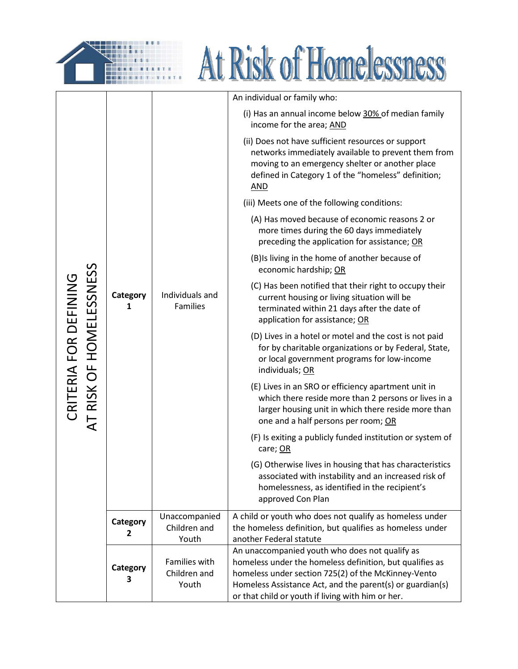



|                                                  |               |                                        | An individual or family who:                                                                                                                                                                                                                                                        |  |
|--------------------------------------------------|---------------|----------------------------------------|-------------------------------------------------------------------------------------------------------------------------------------------------------------------------------------------------------------------------------------------------------------------------------------|--|
|                                                  |               |                                        | (i) Has an annual income below 30% of median family<br>income for the area; AND                                                                                                                                                                                                     |  |
|                                                  |               |                                        | (ii) Does not have sufficient resources or support<br>networks immediately available to prevent them from<br>moving to an emergency shelter or another place<br>defined in Category 1 of the "homeless" definition;<br><b>AND</b>                                                   |  |
|                                                  |               |                                        | (iii) Meets one of the following conditions:                                                                                                                                                                                                                                        |  |
|                                                  |               |                                        | (A) Has moved because of economic reasons 2 or<br>more times during the 60 days immediately<br>preceding the application for assistance; OR                                                                                                                                         |  |
|                                                  |               |                                        | (B) Is living in the home of another because of<br>economic hardship; OR                                                                                                                                                                                                            |  |
|                                                  | Category<br>1 | Individuals and<br>Families            | (C) Has been notified that their right to occupy their<br>current housing or living situation will be<br>terminated within 21 days after the date of<br>application for assistance; OR                                                                                              |  |
| AT RISK OF HOMELESSNESS<br>CRITERIA FOR DEFINING |               |                                        | (D) Lives in a hotel or motel and the cost is not paid<br>for by charitable organizations or by Federal, State,<br>or local government programs for low-income<br>individuals; OR                                                                                                   |  |
|                                                  |               |                                        | (E) Lives in an SRO or efficiency apartment unit in<br>which there reside more than 2 persons or lives in a<br>larger housing unit in which there reside more than<br>one and a half persons per room; OR                                                                           |  |
|                                                  |               |                                        | (F) Is exiting a publicly funded institution or system of<br>care; OR                                                                                                                                                                                                               |  |
|                                                  |               |                                        | (G) Otherwise lives in housing that has characteristics<br>associated with instability and an increased risk of<br>homelessness, as identified in the recipient's<br>approved Con Plan                                                                                              |  |
|                                                  | Category<br>2 | Unaccompanied<br>Children and<br>Youth | A child or youth who does not qualify as homeless under<br>the homeless definition, but qualifies as homeless under<br>another Federal statute                                                                                                                                      |  |
|                                                  | Category<br>3 | Families with<br>Children and<br>Youth | An unaccompanied youth who does not qualify as<br>homeless under the homeless definition, but qualifies as<br>homeless under section 725(2) of the McKinney-Vento<br>Homeless Assistance Act, and the parent(s) or guardian(s)<br>or that child or youth if living with him or her. |  |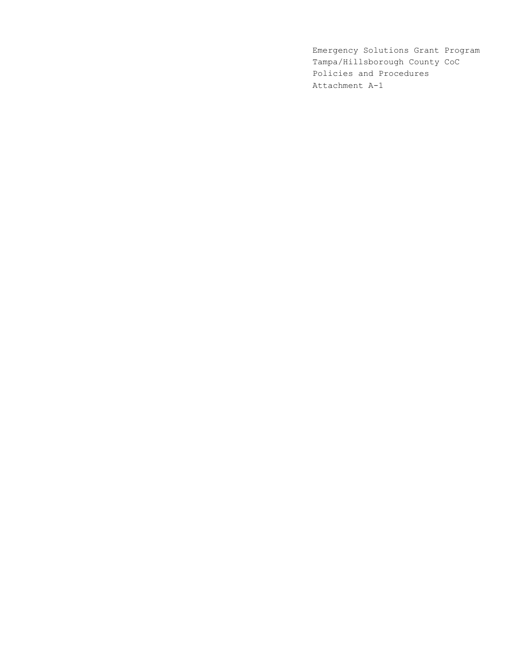Emergency Solutions Grant Program Tampa/Hillsborough County CoC Policies and Procedures Attachment A-1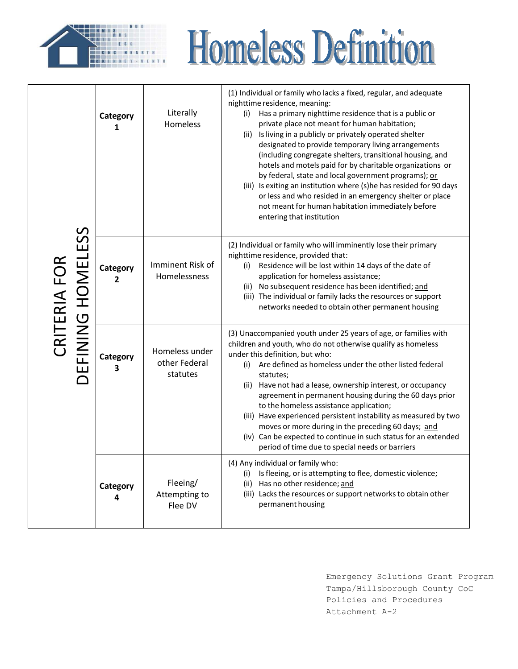

# **Homeless Definition**

|                                  | Category<br>1              | Literally<br>Homeless                       | (1) Individual or family who lacks a fixed, regular, and adequate<br>nighttime residence, meaning:<br>Has a primary nighttime residence that is a public or<br>(i)<br>private place not meant for human habitation;<br>(ii) Is living in a publicly or privately operated shelter<br>designated to provide temporary living arrangements<br>(including congregate shelters, transitional housing, and<br>hotels and motels paid for by charitable organizations or<br>by federal, state and local government programs); or<br>(iii) Is exiting an institution where (s)he has resided for 90 days<br>or less and who resided in an emergency shelter or place<br>not meant for human habitation immediately before<br>entering that institution |
|----------------------------------|----------------------------|---------------------------------------------|-------------------------------------------------------------------------------------------------------------------------------------------------------------------------------------------------------------------------------------------------------------------------------------------------------------------------------------------------------------------------------------------------------------------------------------------------------------------------------------------------------------------------------------------------------------------------------------------------------------------------------------------------------------------------------------------------------------------------------------------------|
| EFINING HOMELESS<br>CRITERIA FOR | Category<br>$\overline{2}$ | Imminent Risk of<br>Homelessness            | (2) Individual or family who will imminently lose their primary<br>nighttime residence, provided that:<br>Residence will be lost within 14 days of the date of<br>(i)<br>application for homeless assistance;<br>(ii) No subsequent residence has been identified; and<br>(iii) The individual or family lacks the resources or support<br>networks needed to obtain other permanent housing                                                                                                                                                                                                                                                                                                                                                    |
|                                  | Category<br>3              | Homeless under<br>other Federal<br>statutes | (3) Unaccompanied youth under 25 years of age, or families with<br>children and youth, who do not otherwise qualify as homeless<br>under this definition, but who:<br>Are defined as homeless under the other listed federal<br>(i)<br>statutes;<br>Have not had a lease, ownership interest, or occupancy<br>(ii)<br>agreement in permanent housing during the 60 days prior<br>to the homeless assistance application;<br>(iii) Have experienced persistent instability as measured by two<br>moves or more during in the preceding 60 days; and<br>(iv) Can be expected to continue in such status for an extended<br>period of time due to special needs or barriers                                                                        |
|                                  | Category<br>4              | Fleeing/<br>Attempting to<br>Flee DV        | (4) Any individual or family who:<br>Is fleeing, or is attempting to flee, domestic violence;<br>(i)<br>Has no other residence; and<br>(ii)<br>(iii) Lacks the resources or support networks to obtain other<br>permanent housing                                                                                                                                                                                                                                                                                                                                                                                                                                                                                                               |

Emergency Solutions Grant Program Tampa/Hillsborough County CoC Policies and Procedures Attachment A-2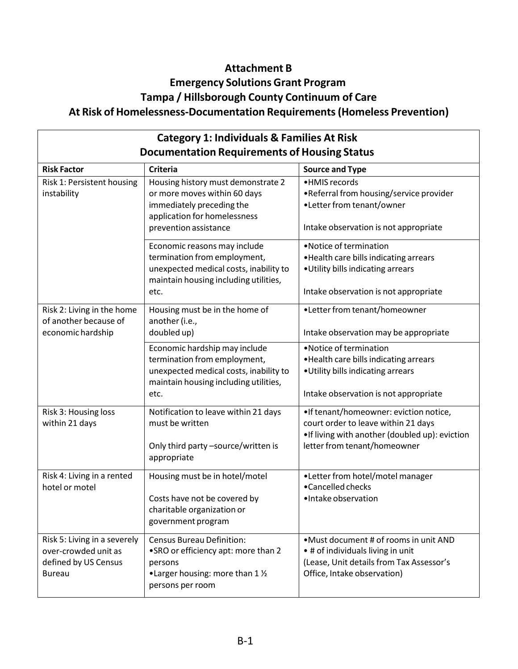### **Attachment B Emergency Solutions Grant Program Tampa / Hillsborough County Continuum of Care At Risk of Homelessness-Documentation Requirements (Homeless Prevention)**

| <b>Category 1: Individuals &amp; Families At Risk</b>                                         |                                                                                                                                                          |                                                                                                                                                                  |  |
|-----------------------------------------------------------------------------------------------|----------------------------------------------------------------------------------------------------------------------------------------------------------|------------------------------------------------------------------------------------------------------------------------------------------------------------------|--|
| <b>Documentation Requirements of Housing Status</b>                                           |                                                                                                                                                          |                                                                                                                                                                  |  |
| <b>Risk Factor</b>                                                                            | <b>Criteria</b>                                                                                                                                          | <b>Source and Type</b>                                                                                                                                           |  |
| Risk 1: Persistent housing<br>instability                                                     | Housing history must demonstrate 2<br>or more moves within 60 days<br>immediately preceding the<br>application for homelessness<br>prevention assistance | •HMIS records<br>•Referral from housing/service provider<br>•Letter from tenant/owner<br>Intake observation is not appropriate                                   |  |
|                                                                                               | Economic reasons may include<br>termination from employment,<br>unexpected medical costs, inability to<br>maintain housing including utilities,<br>etc.  | • Notice of termination<br>. Health care bills indicating arrears<br>. Utility bills indicating arrears<br>Intake observation is not appropriate                 |  |
| Risk 2: Living in the home<br>of another because of<br>economic hardship                      | Housing must be in the home of<br>another (i.e.,<br>doubled up)                                                                                          | •Letter from tenant/homeowner<br>Intake observation may be appropriate                                                                                           |  |
|                                                                                               | Economic hardship may include<br>termination from employment,<br>unexpected medical costs, inability to<br>maintain housing including utilities,<br>etc. | • Notice of termination<br>. Health care bills indicating arrears<br>. Utility bills indicating arrears<br>Intake observation is not appropriate                 |  |
| Risk 3: Housing loss<br>within 21 days                                                        | Notification to leave within 21 days<br>must be written<br>Only third party -source/written is<br>appropriate                                            | •If tenant/homeowner: eviction notice,<br>court order to leave within 21 days<br>. If living with another (doubled up): eviction<br>letter from tenant/homeowner |  |
| Risk 4: Living in a rented<br>hotel or motel                                                  | Housing must be in hotel/motel<br>Costs have not be covered by<br>charitable organization or<br>government program                                       | •Letter from hotel/motel manager<br>•Cancelled checks<br>·Intake observation                                                                                     |  |
| Risk 5: Living in a severely<br>over-crowded unit as<br>defined by US Census<br><b>Bureau</b> | <b>Census Bureau Definition:</b><br>•SRO or efficiency apt: more than 2<br>persons<br>•Larger housing: more than 1 1/2<br>persons per room               | •Must document # of rooms in unit AND<br>• # of individuals living in unit<br>(Lease, Unit details from Tax Assessor's<br>Office, Intake observation)            |  |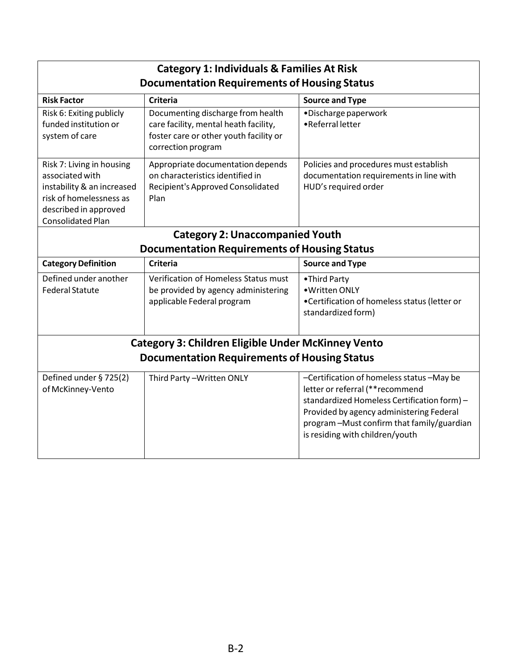| <b>Category 1: Individuals &amp; Families At Risk</b>                                                                                                      |                                                                                                                                            |                                                                                                                                                                                                                                                          |  |
|------------------------------------------------------------------------------------------------------------------------------------------------------------|--------------------------------------------------------------------------------------------------------------------------------------------|----------------------------------------------------------------------------------------------------------------------------------------------------------------------------------------------------------------------------------------------------------|--|
|                                                                                                                                                            | <b>Documentation Requirements of Housing Status</b>                                                                                        |                                                                                                                                                                                                                                                          |  |
| <b>Risk Factor</b>                                                                                                                                         | <b>Criteria</b>                                                                                                                            | <b>Source and Type</b>                                                                                                                                                                                                                                   |  |
| Risk 6: Exiting publicly<br>funded institution or<br>system of care                                                                                        | Documenting discharge from health<br>care facility, mental heath facility,<br>foster care or other youth facility or<br>correction program | ·Discharge paperwork<br>• Referral letter                                                                                                                                                                                                                |  |
| Risk 7: Living in housing<br>associated with<br>instability & an increased<br>risk of homelessness as<br>described in approved<br><b>Consolidated Plan</b> | Appropriate documentation depends<br>on characteristics identified in<br>Recipient's Approved Consolidated<br>Plan                         | Policies and procedures must establish<br>documentation requirements in line with<br>HUD's required order                                                                                                                                                |  |
|                                                                                                                                                            | <b>Category 2: Unaccompanied Youth</b>                                                                                                     |                                                                                                                                                                                                                                                          |  |
|                                                                                                                                                            | <b>Documentation Requirements of Housing Status</b>                                                                                        |                                                                                                                                                                                                                                                          |  |
| <b>Category Definition</b>                                                                                                                                 | <b>Criteria</b>                                                                                                                            | <b>Source and Type</b>                                                                                                                                                                                                                                   |  |
| Defined under another<br><b>Federal Statute</b>                                                                                                            | Verification of Homeless Status must<br>be provided by agency administering<br>applicable Federal program                                  | •Third Party<br>• Written ONLY<br>•Certification of homeless status (letter or<br>standardized form)                                                                                                                                                     |  |
|                                                                                                                                                            | <b>Category 3: Children Eligible Under McKinney Vento</b>                                                                                  |                                                                                                                                                                                                                                                          |  |
| <b>Documentation Requirements of Housing Status</b>                                                                                                        |                                                                                                                                            |                                                                                                                                                                                                                                                          |  |
| Defined under § 725(2)<br>of McKinney-Vento                                                                                                                | Third Party-Written ONLY                                                                                                                   | -Certification of homeless status -May be<br>letter or referral (** recommend<br>standardized Homeless Certification form) -<br>Provided by agency administering Federal<br>program-Must confirm that family/guardian<br>is residing with children/youth |  |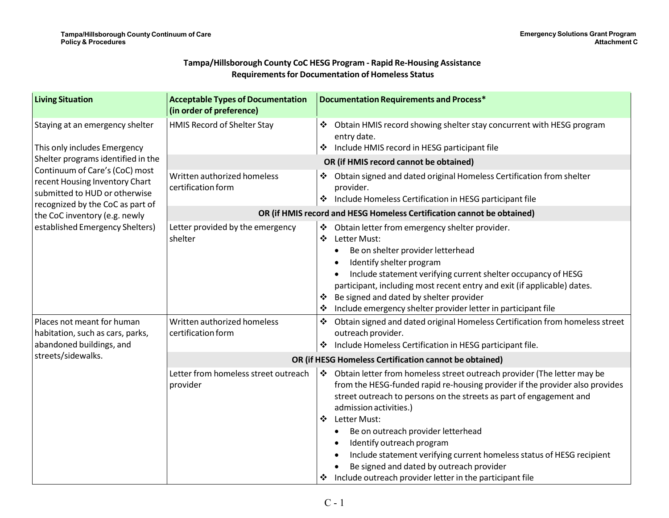#### **Tampa/Hillsborough County CoC HESG Program - Rapid Re-Housing AssistanceRequirements for Documentation of Homeless Status**

| <b>Living Situation</b>                                                                                                               | <b>Acceptable Types of Documentation</b><br>(in order of preference)       | <b>Documentation Requirements and Process*</b>                                                                                                                                                                                                                                                                                                                                                                                                                                                                                      |
|---------------------------------------------------------------------------------------------------------------------------------------|----------------------------------------------------------------------------|-------------------------------------------------------------------------------------------------------------------------------------------------------------------------------------------------------------------------------------------------------------------------------------------------------------------------------------------------------------------------------------------------------------------------------------------------------------------------------------------------------------------------------------|
| Staying at an emergency shelter<br>This only includes Emergency                                                                       | HMIS Record of Shelter Stay                                                | Obtain HMIS record showing shelter stay concurrent with HESG program<br>entry date.<br>Include HMIS record in HESG participant file<br>❖                                                                                                                                                                                                                                                                                                                                                                                            |
| Shelter programs identified in the                                                                                                    | OR (if HMIS record cannot be obtained)                                     |                                                                                                                                                                                                                                                                                                                                                                                                                                                                                                                                     |
| Continuum of Care's (CoC) most<br>recent Housing Inventory Chart<br>submitted to HUD or otherwise<br>recognized by the CoC as part of | Written authorized homeless<br>certification form                          | Obtain signed and dated original Homeless Certification from shelter<br>provider.<br>❖ Include Homeless Certification in HESG participant file                                                                                                                                                                                                                                                                                                                                                                                      |
| the CoC inventory (e.g. newly                                                                                                         |                                                                            | OR (if HMIS record and HESG Homeless Certification cannot be obtained)                                                                                                                                                                                                                                                                                                                                                                                                                                                              |
| established Emergency Shelters)                                                                                                       | Letter provided by the emergency<br>shelter<br>Written authorized homeless | Obtain letter from emergency shelter provider.<br>❖<br>❖<br>Letter Must:<br>Be on shelter provider letterhead<br>Identify shelter program<br>Include statement verifying current shelter occupancy of HESG<br>participant, including most recent entry and exit (if applicable) dates.<br>Be signed and dated by shelter provider<br>❖<br>Include emergency shelter provider letter in participant file<br>❖                                                                                                                        |
| Places not meant for human<br>habitation, such as cars, parks,<br>abandoned buildings, and                                            | certification form                                                         | Obtain signed and dated original Homeless Certification from homeless street<br>❖<br>outreach provider.<br>Include Homeless Certification in HESG participant file.                                                                                                                                                                                                                                                                                                                                                                 |
| streets/sidewalks.                                                                                                                    | OR (if HESG Homeless Certification cannot be obtained)                     |                                                                                                                                                                                                                                                                                                                                                                                                                                                                                                                                     |
|                                                                                                                                       | Letter from homeless street outreach<br>provider                           | ❖ Obtain letter from homeless street outreach provider (The letter may be<br>from the HESG-funded rapid re-housing provider if the provider also provides<br>street outreach to persons on the streets as part of engagement and<br>admission activities.)<br>Letter Must:<br>❖<br>Be on outreach provider letterhead<br>Identify outreach program<br>Include statement verifying current homeless status of HESG recipient<br>Be signed and dated by outreach provider<br>Include outreach provider letter in the participant file |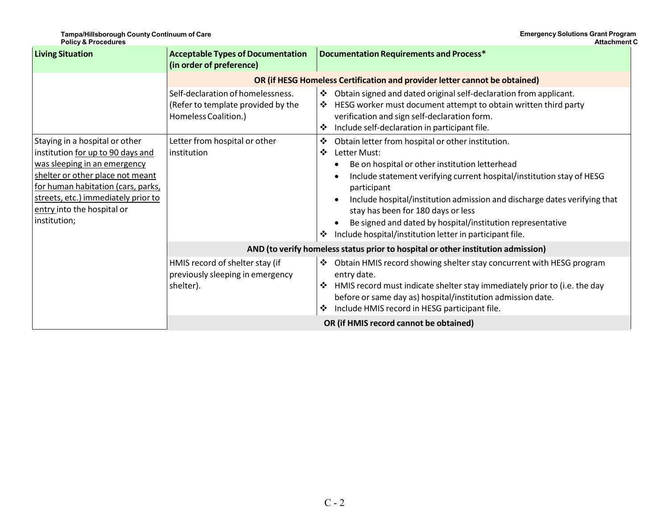| <b>Living Situation</b>                                                                                                                                                                                                                                            | <b>Acceptable Types of Documentation</b><br>(in order of preference)                            | Documentation Requirements and Process*                                                                                                                                                                                                                                                                                                                                                                                                                                 |  |
|--------------------------------------------------------------------------------------------------------------------------------------------------------------------------------------------------------------------------------------------------------------------|-------------------------------------------------------------------------------------------------|-------------------------------------------------------------------------------------------------------------------------------------------------------------------------------------------------------------------------------------------------------------------------------------------------------------------------------------------------------------------------------------------------------------------------------------------------------------------------|--|
|                                                                                                                                                                                                                                                                    |                                                                                                 | OR (if HESG Homeless Certification and provider letter cannot be obtained)                                                                                                                                                                                                                                                                                                                                                                                              |  |
|                                                                                                                                                                                                                                                                    | Self-declaration of homelessness.<br>(Refer to template provided by the<br>Homeless Coalition.) | Obtain signed and dated original self-declaration from applicant.<br>豪<br>HESG worker must document attempt to obtain written third party<br>❖<br>verification and sign self-declaration form.<br>Include self-declaration in participant file.<br>❖                                                                                                                                                                                                                    |  |
| Staying in a hospital or other<br>institution for up to 90 days and<br>was sleeping in an emergency<br>shelter or other place not meant<br>for human habitation (cars, parks,<br>streets, etc.) immediately prior to<br>entry into the hospital or<br>institution; | Letter from hospital or other<br>institution                                                    | Obtain letter from hospital or other institution.<br>❖<br>Letter Must:<br>❖<br>Be on hospital or other institution letterhead<br>Include statement verifying current hospital/institution stay of HESG<br>participant<br>Include hospital/institution admission and discharge dates verifying that<br>stay has been for 180 days or less<br>Be signed and dated by hospital/institution representative<br>Include hospital/institution letter in participant file.<br>❖ |  |
|                                                                                                                                                                                                                                                                    |                                                                                                 | AND (to verify homeless status prior to hospital or other institution admission)                                                                                                                                                                                                                                                                                                                                                                                        |  |
|                                                                                                                                                                                                                                                                    | HMIS record of shelter stay (if<br>previously sleeping in emergency<br>shelter).                | Obtain HMIS record showing shelter stay concurrent with HESG program<br>❖<br>entry date.<br>HMIS record must indicate shelter stay immediately prior to (i.e. the day<br>❖<br>before or same day as) hospital/institution admission date.<br>Include HMIS record in HESG participant file.<br>❖                                                                                                                                                                         |  |
|                                                                                                                                                                                                                                                                    |                                                                                                 | OR (if HMIS record cannot be obtained)                                                                                                                                                                                                                                                                                                                                                                                                                                  |  |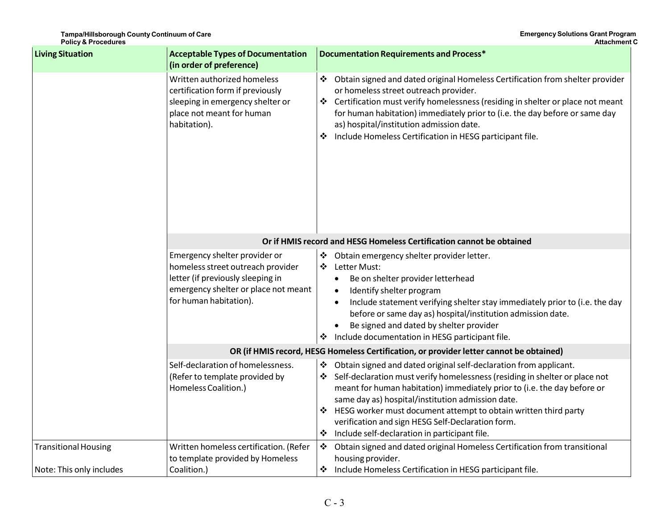| <b>Living Situation</b>                                 | <b>Acceptable Types of Documentation</b><br>(in order of preference)                                                                                                      | <b>Documentation Requirements and Process*</b>                                                                                                                                                                                                                                                                                                                                                                                                                            |
|---------------------------------------------------------|---------------------------------------------------------------------------------------------------------------------------------------------------------------------------|---------------------------------------------------------------------------------------------------------------------------------------------------------------------------------------------------------------------------------------------------------------------------------------------------------------------------------------------------------------------------------------------------------------------------------------------------------------------------|
|                                                         | Written authorized homeless<br>certification form if previously<br>sleeping in emergency shelter or<br>place not meant for human<br>habitation).                          | ❖<br>Obtain signed and dated original Homeless Certification from shelter provider<br>or homeless street outreach provider.<br>Certification must verify homelessness (residing in shelter or place not meant<br>❖<br>for human habitation) immediately prior to (i.e. the day before or same day<br>as) hospital/institution admission date.<br>Include Homeless Certification in HESG participant file.                                                                 |
|                                                         | Or if HMIS record and HESG Homeless Certification cannot be obtained                                                                                                      |                                                                                                                                                                                                                                                                                                                                                                                                                                                                           |
|                                                         | Emergency shelter provider or<br>homeless street outreach provider<br>letter (if previously sleeping in<br>emergency shelter or place not meant<br>for human habitation). | Obtain emergency shelter provider letter.<br>❖<br>$\ddot{\bullet}$<br>Letter Must:<br>Be on shelter provider letterhead<br>Identify shelter program<br>Include statement verifying shelter stay immediately prior to (i.e. the day<br>before or same day as) hospital/institution admission date.<br>Be signed and dated by shelter provider<br>* Include documentation in HESG participant file.                                                                         |
|                                                         |                                                                                                                                                                           | OR (if HMIS record, HESG Homeless Certification, or provider letter cannot be obtained)                                                                                                                                                                                                                                                                                                                                                                                   |
|                                                         | Self-declaration of homelessness.<br>(Refer to template provided by<br>Homeless Coalition.)                                                                               | Obtain signed and dated original self-declaration from applicant.<br>❖<br>Self-declaration must verify homelessness (residing in shelter or place not<br>❖<br>meant for human habitation) immediately prior to (i.e. the day before or<br>same day as) hospital/institution admission date.<br>HESG worker must document attempt to obtain written third party<br>verification and sign HESG Self-Declaration form.<br>Include self-declaration in participant file.<br>❖ |
| <b>Transitional Housing</b><br>Note: This only includes | Written homeless certification. (Refer<br>to template provided by Homeless<br>Coalition.)                                                                                 | $\frac{1}{2}$<br>Obtain signed and dated original Homeless Certification from transitional<br>housing provider.<br>Include Homeless Certification in HESG participant file.<br>❖                                                                                                                                                                                                                                                                                          |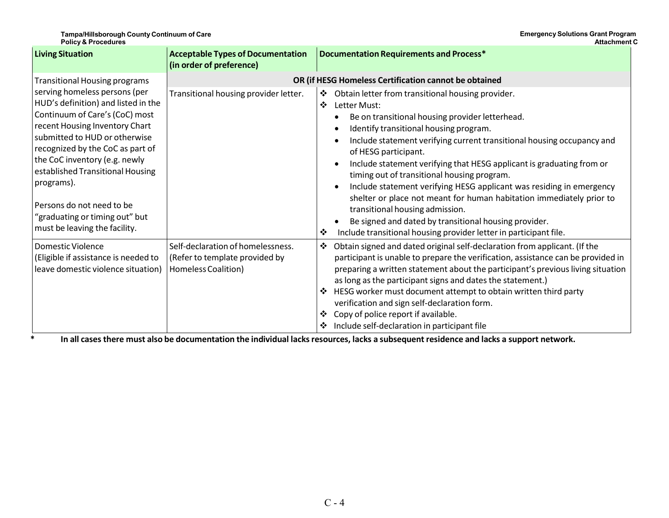| <b>Living Situation</b>                                                                                                                                                                                                                                                                                                                                                                                                                  | <b>Acceptable Types of Documentation</b><br>(in order of preference)                       | Documentation Requirements and Process*                                                                                                                                                                                                                                                                                                                                                                                                                                                                                                                                                                                                                                                                                  |
|------------------------------------------------------------------------------------------------------------------------------------------------------------------------------------------------------------------------------------------------------------------------------------------------------------------------------------------------------------------------------------------------------------------------------------------|--------------------------------------------------------------------------------------------|--------------------------------------------------------------------------------------------------------------------------------------------------------------------------------------------------------------------------------------------------------------------------------------------------------------------------------------------------------------------------------------------------------------------------------------------------------------------------------------------------------------------------------------------------------------------------------------------------------------------------------------------------------------------------------------------------------------------------|
| <b>Transitional Housing programs</b><br>serving homeless persons (per<br>HUD's definition) and listed in the<br>Continuum of Care's (CoC) most<br>recent Housing Inventory Chart<br>submitted to HUD or otherwise<br>recognized by the CoC as part of<br>the CoC inventory (e.g. newly<br>established Transitional Housing<br>programs).<br>Persons do not need to be<br>"graduating or timing out" but<br>must be leaving the facility. | OR (if HESG Homeless Certification cannot be obtained                                      |                                                                                                                                                                                                                                                                                                                                                                                                                                                                                                                                                                                                                                                                                                                          |
|                                                                                                                                                                                                                                                                                                                                                                                                                                          | Transitional housing provider letter.                                                      | Obtain letter from transitional housing provider.<br>❖<br>❖<br>Letter Must:<br>Be on transitional housing provider letterhead.<br>Identify transitional housing program.<br>Include statement verifying current transitional housing occupancy and<br>of HESG participant.<br>Include statement verifying that HESG applicant is graduating from or<br>timing out of transitional housing program.<br>Include statement verifying HESG applicant was residing in emergency<br>shelter or place not meant for human habitation immediately prior to<br>transitional housing admission.<br>Be signed and dated by transitional housing provider.<br>Include transitional housing provider letter in participant file.<br>❖ |
| <b>Domestic Violence</b><br>(Eligible if assistance is needed to<br>leave domestic violence situation)<br>*                                                                                                                                                                                                                                                                                                                              | Self-declaration of homelessness.<br>(Refer to template provided by<br>Homeless Coalition) | Obtain signed and dated original self-declaration from applicant. (If the<br>❖<br>participant is unable to prepare the verification, assistance can be provided in<br>preparing a written statement about the participant's previous living situation<br>as long as the participant signs and dates the statement.)<br>HESG worker must document attempt to obtain written third party<br>❖<br>verification and sign self-declaration form.<br>Copy of police report if available.<br>❖<br>Include self-declaration in participant file<br>❖<br>In all cases there must also be documentation the individual lacks resources, lacks a subsequent residence and lacks a support network.                                  |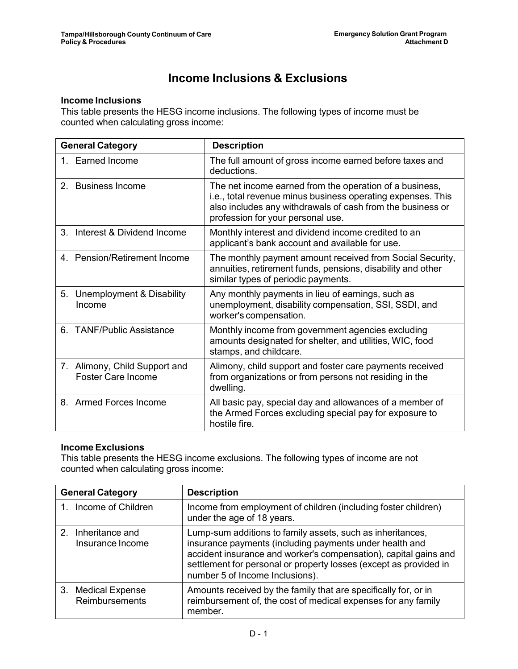## **Income Inclusions & Exclusions**

#### **Income Inclusions**

This table presents the HESG income inclusions. The following types of income must be counted when calculating gross income:

| <b>General Category</b>                                    | <b>Description</b>                                                                                                                                                                                                        |
|------------------------------------------------------------|---------------------------------------------------------------------------------------------------------------------------------------------------------------------------------------------------------------------------|
| 1. Earned Income                                           | The full amount of gross income earned before taxes and<br>deductions.                                                                                                                                                    |
| 2. Business Income                                         | The net income earned from the operation of a business,<br>i.e., total revenue minus business operating expenses. This<br>also includes any withdrawals of cash from the business or<br>profession for your personal use. |
| Interest & Dividend Income<br>$3_{-}$                      | Monthly interest and dividend income credited to an<br>applicant's bank account and available for use.                                                                                                                    |
| 4. Pension/Retirement Income                               | The monthly payment amount received from Social Security,<br>annuities, retirement funds, pensions, disability and other<br>similar types of periodic payments.                                                           |
| 5. Unemployment & Disability<br>Income                     | Any monthly payments in lieu of earnings, such as<br>unemployment, disability compensation, SSI, SSDI, and<br>worker's compensation.                                                                                      |
| <b>TANF/Public Assistance</b><br>6.                        | Monthly income from government agencies excluding<br>amounts designated for shelter, and utilities, WIC, food<br>stamps, and childcare.                                                                                   |
| 7. Alimony, Child Support and<br><b>Foster Care Income</b> | Alimony, child support and foster care payments received<br>from organizations or from persons not residing in the<br>dwelling.                                                                                           |
| 8. Armed Forces Income                                     | All basic pay, special day and allowances of a member of<br>the Armed Forces excluding special pay for exposure to<br>hostile fire.                                                                                       |

#### **Income Exclusions**

This table presents the HESG income exclusions. The following types of income are not counted when calculating gross income:

| <b>General Category</b>                              | <b>Description</b>                                                                                                                                                                                                                                                                                |
|------------------------------------------------------|---------------------------------------------------------------------------------------------------------------------------------------------------------------------------------------------------------------------------------------------------------------------------------------------------|
| Income of Children                                   | Income from employment of children (including foster children)<br>under the age of 18 years.                                                                                                                                                                                                      |
| Inheritance and<br>$\mathcal{P}$<br>Insurance Income | Lump-sum additions to family assets, such as inheritances,<br>insurance payments (including payments under health and<br>accident insurance and worker's compensation), capital gains and<br>settlement for personal or property losses (except as provided in<br>number 5 of Income Inclusions). |
| 3. Medical Expense<br>Reimbursements                 | Amounts received by the family that are specifically for, or in<br>reimbursement of, the cost of medical expenses for any family<br>member.                                                                                                                                                       |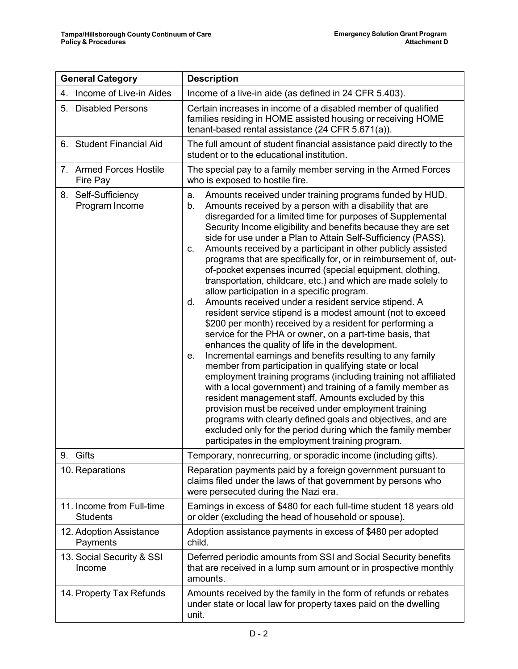| <b>General Category</b>                      | <b>Description</b>                                                                                                                                                                                                                                                                                                                                                                                                                                                                                                                                                                                                                                                                                                                                                                                                                                                                                                                                                                                                                                                                                                                                                                                                                                                                                                                                                                                                                                                                                                           |  |
|----------------------------------------------|------------------------------------------------------------------------------------------------------------------------------------------------------------------------------------------------------------------------------------------------------------------------------------------------------------------------------------------------------------------------------------------------------------------------------------------------------------------------------------------------------------------------------------------------------------------------------------------------------------------------------------------------------------------------------------------------------------------------------------------------------------------------------------------------------------------------------------------------------------------------------------------------------------------------------------------------------------------------------------------------------------------------------------------------------------------------------------------------------------------------------------------------------------------------------------------------------------------------------------------------------------------------------------------------------------------------------------------------------------------------------------------------------------------------------------------------------------------------------------------------------------------------------|--|
| 4. Income of Live-in Aides                   | Income of a live-in aide (as defined in 24 CFR 5.403).                                                                                                                                                                                                                                                                                                                                                                                                                                                                                                                                                                                                                                                                                                                                                                                                                                                                                                                                                                                                                                                                                                                                                                                                                                                                                                                                                                                                                                                                       |  |
| 5. Disabled Persons                          | Certain increases in income of a disabled member of qualified<br>families residing in HOME assisted housing or receiving HOME<br>tenant-based rental assistance (24 CFR 5.671(a)).                                                                                                                                                                                                                                                                                                                                                                                                                                                                                                                                                                                                                                                                                                                                                                                                                                                                                                                                                                                                                                                                                                                                                                                                                                                                                                                                           |  |
| 6. Student Financial Aid                     | The full amount of student financial assistance paid directly to the<br>student or to the educational institution.                                                                                                                                                                                                                                                                                                                                                                                                                                                                                                                                                                                                                                                                                                                                                                                                                                                                                                                                                                                                                                                                                                                                                                                                                                                                                                                                                                                                           |  |
| 7. Armed Forces Hostile<br>Fire Pay          | The special pay to a family member serving in the Armed Forces<br>who is exposed to hostile fire.                                                                                                                                                                                                                                                                                                                                                                                                                                                                                                                                                                                                                                                                                                                                                                                                                                                                                                                                                                                                                                                                                                                                                                                                                                                                                                                                                                                                                            |  |
| 8. Self-Sufficiency<br>Program Income        | Amounts received under training programs funded by HUD.<br>a.<br>Amounts received by a person with a disability that are<br>b.<br>disregarded for a limited time for purposes of Supplemental<br>Security Income eligibility and benefits because they are set<br>side for use under a Plan to Attain Self-Sufficiency (PASS).<br>Amounts received by a participant in other publicly assisted<br>C.<br>programs that are specifically for, or in reimbursement of, out-<br>of-pocket expenses incurred (special equipment, clothing,<br>transportation, childcare, etc.) and which are made solely to<br>allow participation in a specific program.<br>Amounts received under a resident service stipend. A<br>d.<br>resident service stipend is a modest amount (not to exceed<br>\$200 per month) received by a resident for performing a<br>service for the PHA or owner, on a part-time basis, that<br>enhances the quality of life in the development.<br>Incremental earnings and benefits resulting to any family<br>е.<br>member from participation in qualifying state or local<br>employment training programs (including training not affiliated<br>with a local government) and training of a family member as<br>resident management staff. Amounts excluded by this<br>provision must be received under employment training<br>programs with clearly defined goals and objectives, and are<br>excluded only for the period during which the family member<br>participates in the employment training program. |  |
| 9. Gifts                                     | Temporary, nonrecurring, or sporadic income (including gifts).                                                                                                                                                                                                                                                                                                                                                                                                                                                                                                                                                                                                                                                                                                                                                                                                                                                                                                                                                                                                                                                                                                                                                                                                                                                                                                                                                                                                                                                               |  |
| 10. Reparations                              | Reparation payments paid by a foreign government pursuant to<br>claims filed under the laws of that government by persons who<br>were persecuted during the Nazi era.                                                                                                                                                                                                                                                                                                                                                                                                                                                                                                                                                                                                                                                                                                                                                                                                                                                                                                                                                                                                                                                                                                                                                                                                                                                                                                                                                        |  |
| 11. Income from Full-time<br><b>Students</b> | Earnings in excess of \$480 for each full-time student 18 years old<br>or older (excluding the head of household or spouse).                                                                                                                                                                                                                                                                                                                                                                                                                                                                                                                                                                                                                                                                                                                                                                                                                                                                                                                                                                                                                                                                                                                                                                                                                                                                                                                                                                                                 |  |
| 12. Adoption Assistance<br>Payments          | Adoption assistance payments in excess of \$480 per adopted<br>child.                                                                                                                                                                                                                                                                                                                                                                                                                                                                                                                                                                                                                                                                                                                                                                                                                                                                                                                                                                                                                                                                                                                                                                                                                                                                                                                                                                                                                                                        |  |
| 13. Social Security & SSI<br>Income          | Deferred periodic amounts from SSI and Social Security benefits<br>that are received in a lump sum amount or in prospective monthly<br>amounts.                                                                                                                                                                                                                                                                                                                                                                                                                                                                                                                                                                                                                                                                                                                                                                                                                                                                                                                                                                                                                                                                                                                                                                                                                                                                                                                                                                              |  |
| 14. Property Tax Refunds                     | Amounts received by the family in the form of refunds or rebates<br>under state or local law for property taxes paid on the dwelling<br>unit.                                                                                                                                                                                                                                                                                                                                                                                                                                                                                                                                                                                                                                                                                                                                                                                                                                                                                                                                                                                                                                                                                                                                                                                                                                                                                                                                                                                |  |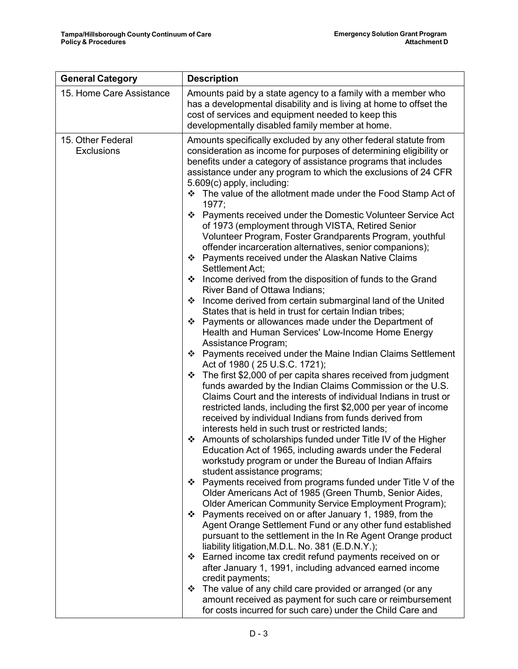| <b>General Category</b>                | <b>Description</b>                                                                                                                                                                                                                                                                                                                                                                                                                                                                                                                                                                                                                                                                                                                                                                                                                                                                                                                                                                                                                                                                                                                                                                                                                                                                                                                                                                                                                                                                                                                                                                                                                                                                                                                                                                                                                                                                                                                                                                                                                                                                                                                                                                                                                                                                                                                                                                                                                                                                                                                                                                |  |
|----------------------------------------|-----------------------------------------------------------------------------------------------------------------------------------------------------------------------------------------------------------------------------------------------------------------------------------------------------------------------------------------------------------------------------------------------------------------------------------------------------------------------------------------------------------------------------------------------------------------------------------------------------------------------------------------------------------------------------------------------------------------------------------------------------------------------------------------------------------------------------------------------------------------------------------------------------------------------------------------------------------------------------------------------------------------------------------------------------------------------------------------------------------------------------------------------------------------------------------------------------------------------------------------------------------------------------------------------------------------------------------------------------------------------------------------------------------------------------------------------------------------------------------------------------------------------------------------------------------------------------------------------------------------------------------------------------------------------------------------------------------------------------------------------------------------------------------------------------------------------------------------------------------------------------------------------------------------------------------------------------------------------------------------------------------------------------------------------------------------------------------------------------------------------------------------------------------------------------------------------------------------------------------------------------------------------------------------------------------------------------------------------------------------------------------------------------------------------------------------------------------------------------------------------------------------------------------------------------------------------------------|--|
| 15. Home Care Assistance               | Amounts paid by a state agency to a family with a member who<br>has a developmental disability and is living at home to offset the<br>cost of services and equipment needed to keep this<br>developmentally disabled family member at home.                                                                                                                                                                                                                                                                                                                                                                                                                                                                                                                                                                                                                                                                                                                                                                                                                                                                                                                                                                                                                                                                                                                                                                                                                                                                                                                                                                                                                                                                                                                                                                                                                                                                                                                                                                                                                                                                                                                                                                                                                                                                                                                                                                                                                                                                                                                                       |  |
| 15. Other Federal<br><b>Exclusions</b> | Amounts specifically excluded by any other federal statute from<br>consideration as income for purposes of determining eligibility or<br>benefits under a category of assistance programs that includes<br>assistance under any program to which the exclusions of 24 CFR<br>5.609(c) apply, including:<br>❖ The value of the allotment made under the Food Stamp Act of<br>1977;<br>Payments received under the Domestic Volunteer Service Act<br>❖<br>of 1973 (employment through VISTA, Retired Senior<br>Volunteer Program, Foster Grandparents Program, youthful<br>offender incarceration alternatives, senior companions);<br>❖ Payments received under the Alaskan Native Claims<br>Settlement Act;<br>❖ Income derived from the disposition of funds to the Grand<br>River Band of Ottawa Indians;<br>Income derived from certain submarginal land of the United<br>❖<br>States that is held in trust for certain Indian tribes;<br>❖ Payments or allowances made under the Department of<br>Health and Human Services' Low-Income Home Energy<br>Assistance Program;<br>❖ Payments received under the Maine Indian Claims Settlement<br>Act of 1980 (25 U.S.C. 1721);<br>The first \$2,000 of per capita shares received from judgment<br>❖<br>funds awarded by the Indian Claims Commission or the U.S.<br>Claims Court and the interests of individual Indians in trust or<br>restricted lands, including the first \$2,000 per year of income<br>received by individual Indians from funds derived from<br>interests held in such trust or restricted lands;<br>❖ Amounts of scholarships funded under Title IV of the Higher<br>Education Act of 1965, including awards under the Federal<br>workstudy program or under the Bureau of Indian Affairs<br>student assistance programs;<br>Payments received from programs funded under Title V of the<br>❖<br>Older Americans Act of 1985 (Green Thumb, Senior Aides,<br>Older American Community Service Employment Program);<br>❖ Payments received on or after January 1, 1989, from the<br>Agent Orange Settlement Fund or any other fund established<br>pursuant to the settlement in the In Re Agent Orange product<br>liability litigation, M.D.L. No. 381 (E.D.N.Y.);<br>❖ Earned income tax credit refund payments received on or<br>after January 1, 1991, including advanced earned income<br>credit payments;<br>The value of any child care provided or arranged (or any<br>❖<br>amount received as payment for such care or reimbursement<br>for costs incurred for such care) under the Child Care and |  |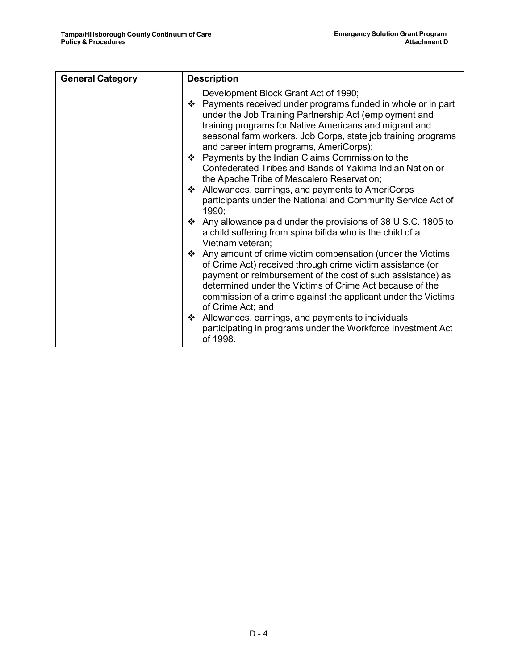| <b>General Category</b> | <b>Description</b>                                                                                                                                                                                                                                                                                                                                                                                                                                                                                                                                                                                                          |  |
|-------------------------|-----------------------------------------------------------------------------------------------------------------------------------------------------------------------------------------------------------------------------------------------------------------------------------------------------------------------------------------------------------------------------------------------------------------------------------------------------------------------------------------------------------------------------------------------------------------------------------------------------------------------------|--|
|                         | Development Block Grant Act of 1990;<br>❖ Payments received under programs funded in whole or in part<br>under the Job Training Partnership Act (employment and<br>training programs for Native Americans and migrant and<br>seasonal farm workers, Job Corps, state job training programs<br>and career intern programs, AmeriCorps);<br>❖ Payments by the Indian Claims Commission to the<br>Confederated Tribes and Bands of Yakima Indian Nation or<br>the Apache Tribe of Mescalero Reservation;<br>❖ Allowances, earnings, and payments to AmeriCorps<br>participants under the National and Community Service Act of |  |
|                         | 1990;<br>❖ Any allowance paid under the provisions of 38 U.S.C. 1805 to<br>a child suffering from spina bifida who is the child of a<br>Vietnam veteran;<br>❖ Any amount of crime victim compensation (under the Victims                                                                                                                                                                                                                                                                                                                                                                                                    |  |
|                         | of Crime Act) received through crime victim assistance (or<br>payment or reimbursement of the cost of such assistance) as<br>determined under the Victims of Crime Act because of the<br>commission of a crime against the applicant under the Victims<br>of Crime Act; and<br>Allowances, earnings, and payments to individuals<br>❖<br>participating in programs under the Workforce Investment Act<br>of 1998.                                                                                                                                                                                                           |  |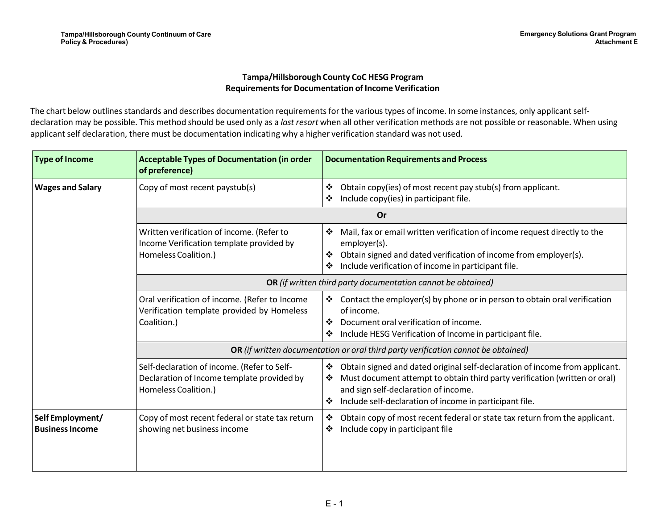#### **Tampa/Hillsborough County CoC HESG ProgramRequirements for Documentation of Income Verification**

The chart below outlines standards and describes documentation requirements for the various types of income. In some instances, only applicant selfdeclaration may be possible. This method should be used only as a *last resort* when all other verification methods are not possible or reasonable. When usingapplicant self declaration, there must be documentation indicating why a higher verification standard was not used.

| <b>Type of Income</b>                      | <b>Acceptable Types of Documentation (in order</b><br>of preference)                                              | <b>Documentation Requirements and Process</b>                                                                                                                                                                                                                               |  |
|--------------------------------------------|-------------------------------------------------------------------------------------------------------------------|-----------------------------------------------------------------------------------------------------------------------------------------------------------------------------------------------------------------------------------------------------------------------------|--|
| <b>Wages and Salary</b>                    | Copy of most recent paystub(s)                                                                                    | ❖<br>Obtain copy(ies) of most recent pay stub(s) from applicant.<br>Include copy(ies) in participant file.<br>❖                                                                                                                                                             |  |
|                                            | <b>Or</b>                                                                                                         |                                                                                                                                                                                                                                                                             |  |
|                                            | Written verification of income. (Refer to<br>Income Verification template provided by<br>Homeless Coalition.)     | Mail, fax or email written verification of income request directly to the<br>❖<br>employer(s).<br>Obtain signed and dated verification of income from employer(s).<br>❖<br>Include verification of income in participant file.<br>❖                                         |  |
|                                            | OR (if written third party documentation cannot be obtained)                                                      |                                                                                                                                                                                                                                                                             |  |
| Coalition.)                                | Oral verification of income. (Refer to Income<br>Verification template provided by Homeless                       | Contact the employer(s) by phone or in person to obtain oral verification<br>of income.<br>❖<br>Document oral verification of income.<br>Include HESG Verification of Income in participant file.<br>❖                                                                      |  |
|                                            | OR (if written documentation or oral third party verification cannot be obtained)                                 |                                                                                                                                                                                                                                                                             |  |
|                                            | Self-declaration of income. (Refer to Self-<br>Declaration of Income template provided by<br>Homeless Coalition.) | Obtain signed and dated original self-declaration of income from applicant.<br>❖<br>Must document attempt to obtain third party verification (written or oral)<br>❖<br>and sign self-declaration of income.<br>Include self-declaration of income in participant file.<br>❖ |  |
| Self Employment/<br><b>Business Income</b> | Copy of most recent federal or state tax return<br>showing net business income                                    | Obtain copy of most recent federal or state tax return from the applicant.<br>❖<br>Include copy in participant file<br>❖                                                                                                                                                    |  |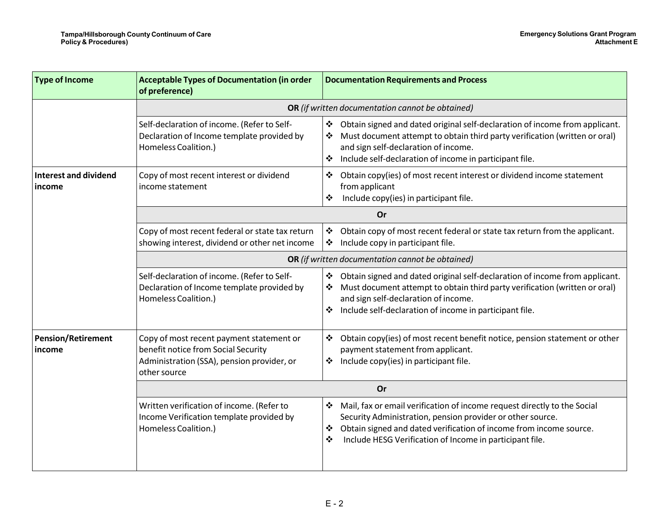| <b>Type of Income</b>                  | <b>Acceptable Types of Documentation (in order</b><br>of preference)                                                                          | <b>Documentation Requirements and Process</b>                                                                                                                                                                                                                                           |  |
|----------------------------------------|-----------------------------------------------------------------------------------------------------------------------------------------------|-----------------------------------------------------------------------------------------------------------------------------------------------------------------------------------------------------------------------------------------------------------------------------------------|--|
|                                        |                                                                                                                                               | OR (if written documentation cannot be obtained)                                                                                                                                                                                                                                        |  |
|                                        | Self-declaration of income. (Refer to Self-<br>Declaration of Income template provided by<br>Homeless Coalition.)                             | Obtain signed and dated original self-declaration of income from applicant.<br>❖<br>Must document attempt to obtain third party verification (written or oral)<br>and sign self-declaration of income.<br>Include self-declaration of income in participant file.<br>❖                  |  |
| <b>Interest and dividend</b><br>income | Copy of most recent interest or dividend<br>income statement                                                                                  | Obtain copy(ies) of most recent interest or dividend income statement<br>❖<br>from applicant<br>Include copy(ies) in participant file.<br>❖                                                                                                                                             |  |
|                                        |                                                                                                                                               | Or                                                                                                                                                                                                                                                                                      |  |
|                                        | Copy of most recent federal or state tax return<br>showing interest, dividend or other net income                                             | Obtain copy of most recent federal or state tax return from the applicant.<br>❖<br>Include copy in participant file.<br>❖                                                                                                                                                               |  |
|                                        |                                                                                                                                               | OR (if written documentation cannot be obtained)                                                                                                                                                                                                                                        |  |
|                                        | Self-declaration of income. (Refer to Self-<br>Declaration of Income template provided by<br>Homeless Coalition.)                             | Obtain signed and dated original self-declaration of income from applicant.<br>Must document attempt to obtain third party verification (written or oral)<br>and sign self-declaration of income.<br>Include self-declaration of income in participant file.<br>❖                       |  |
| <b>Pension/Retirement</b><br>income    | Copy of most recent payment statement or<br>benefit notice from Social Security<br>Administration (SSA), pension provider, or<br>other source | Obtain copy(ies) of most recent benefit notice, pension statement or other<br>❖<br>payment statement from applicant.<br>Include copy(ies) in participant file.<br>❖                                                                                                                     |  |
|                                        | Or                                                                                                                                            |                                                                                                                                                                                                                                                                                         |  |
|                                        | Written verification of income. (Refer to<br>Income Verification template provided by<br>Homeless Coalition.)                                 | Mail, fax or email verification of income request directly to the Social<br>❖<br>Security Administration, pension provider or other source.<br>Obtain signed and dated verification of income from income source.<br>❖<br>Include HESG Verification of Income in participant file.<br>❖ |  |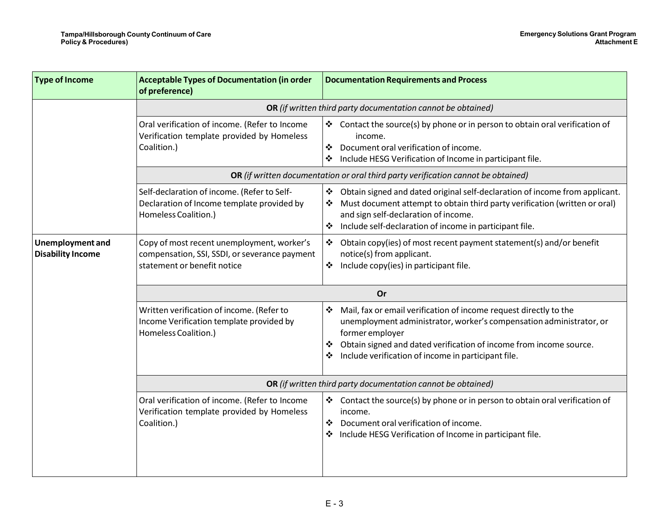| <b>Type of Income</b>                               | <b>Acceptable Types of Documentation (in order</b><br>of preference)                                                       | <b>Documentation Requirements and Process</b>                                                                                                                                                                                                                                                           |  |
|-----------------------------------------------------|----------------------------------------------------------------------------------------------------------------------------|---------------------------------------------------------------------------------------------------------------------------------------------------------------------------------------------------------------------------------------------------------------------------------------------------------|--|
|                                                     |                                                                                                                            | OR (if written third party documentation cannot be obtained)                                                                                                                                                                                                                                            |  |
|                                                     | Oral verification of income. (Refer to Income<br>Verification template provided by Homeless<br>Coalition.)                 | Contact the source(s) by phone or in person to obtain oral verification of<br>income.<br>Document oral verification of income.<br>❖<br>Include HESG Verification of Income in participant file.<br>❖                                                                                                    |  |
|                                                     | OR (if written documentation or oral third party verification cannot be obtained)                                          |                                                                                                                                                                                                                                                                                                         |  |
|                                                     | Self-declaration of income. (Refer to Self-<br>Declaration of Income template provided by<br>Homeless Coalition.)          | Obtain signed and dated original self-declaration of income from applicant.<br>❖<br>Must document attempt to obtain third party verification (written or oral)<br>and sign self-declaration of income.<br>Include self-declaration of income in participant file.<br>❖                                  |  |
| <b>Unemployment and</b><br><b>Disability Income</b> | Copy of most recent unemployment, worker's<br>compensation, SSI, SSDI, or severance payment<br>statement or benefit notice | Obtain copy(ies) of most recent payment statement(s) and/or benefit<br>❖<br>notice(s) from applicant.<br>Include copy(ies) in participant file.<br>❖                                                                                                                                                    |  |
|                                                     | Or                                                                                                                         |                                                                                                                                                                                                                                                                                                         |  |
|                                                     | Written verification of income. (Refer to<br>Income Verification template provided by<br>Homeless Coalition.)              | Mail, fax or email verification of income request directly to the<br>❖<br>unemployment administrator, worker's compensation administrator, or<br>former employer<br>Obtain signed and dated verification of income from income source.<br>❖<br>Include verification of income in participant file.<br>❖ |  |
|                                                     | OR (if written third party documentation cannot be obtained)                                                               |                                                                                                                                                                                                                                                                                                         |  |
|                                                     | Oral verification of income. (Refer to Income<br>Verification template provided by Homeless<br>Coalition.)                 | Contact the source(s) by phone or in person to obtain oral verification of<br>❖<br>income.<br>Document oral verification of income.<br>❖<br>Include HESG Verification of Income in participant file.                                                                                                    |  |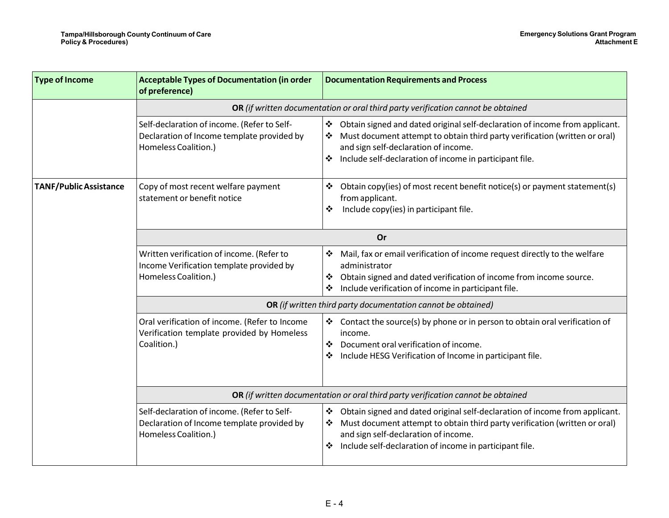| <b>Type of Income</b>         | <b>Acceptable Types of Documentation (in order</b><br>of preference)                                              | <b>Documentation Requirements and Process</b>                                                                                                                                                                                                                          |  |
|-------------------------------|-------------------------------------------------------------------------------------------------------------------|------------------------------------------------------------------------------------------------------------------------------------------------------------------------------------------------------------------------------------------------------------------------|--|
|                               | OR (if written documentation or oral third party verification cannot be obtained                                  |                                                                                                                                                                                                                                                                        |  |
|                               | Self-declaration of income. (Refer to Self-<br>Declaration of Income template provided by<br>Homeless Coalition.) | Obtain signed and dated original self-declaration of income from applicant.<br>❖<br>Must document attempt to obtain third party verification (written or oral)<br>and sign self-declaration of income.<br>Include self-declaration of income in participant file.      |  |
| <b>TANF/Public Assistance</b> | Copy of most recent welfare payment<br>statement or benefit notice                                                | Obtain copy(ies) of most recent benefit notice(s) or payment statement(s)<br>❖<br>from applicant.<br>Include copy(ies) in participant file.<br>❖                                                                                                                       |  |
|                               | Or                                                                                                                |                                                                                                                                                                                                                                                                        |  |
|                               | Written verification of income. (Refer to<br>Income Verification template provided by<br>Homeless Coalition.)     | Mail, fax or email verification of income request directly to the welfare<br>administrator<br>Obtain signed and dated verification of income from income source.<br>❖<br>Include verification of income in participant file.                                           |  |
|                               | OR (if written third party documentation cannot be obtained)                                                      |                                                                                                                                                                                                                                                                        |  |
|                               | Oral verification of income. (Refer to Income<br>Verification template provided by Homeless<br>Coalition.)        | Contact the source(s) by phone or in person to obtain oral verification of<br>income.<br>Document oral verification of income.<br>❖<br>Include HESG Verification of Income in participant file.<br>❖                                                                   |  |
|                               | OR (if written documentation or oral third party verification cannot be obtained                                  |                                                                                                                                                                                                                                                                        |  |
|                               | Self-declaration of income. (Refer to Self-<br>Declaration of Income template provided by<br>Homeless Coalition.) | Obtain signed and dated original self-declaration of income from applicant.<br>❖<br>Must document attempt to obtain third party verification (written or oral)<br>and sign self-declaration of income.<br>Include self-declaration of income in participant file.<br>❖ |  |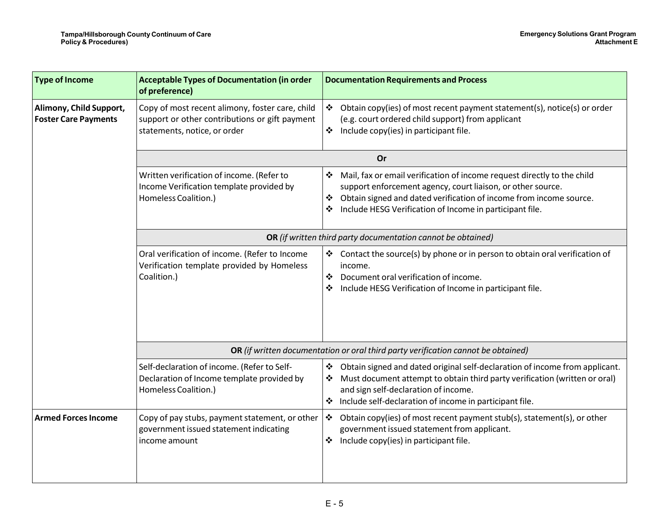| <b>Type of Income</b>                                  | <b>Acceptable Types of Documentation (in order</b><br>of preference)                                                              | <b>Documentation Requirements and Process</b>                                                                                                                                                                                                                                      |  |
|--------------------------------------------------------|-----------------------------------------------------------------------------------------------------------------------------------|------------------------------------------------------------------------------------------------------------------------------------------------------------------------------------------------------------------------------------------------------------------------------------|--|
| Alimony, Child Support,<br><b>Foster Care Payments</b> | Copy of most recent alimony, foster care, child<br>support or other contributions or gift payment<br>statements, notice, or order | Obtain copy(ies) of most recent payment statement(s), notice(s) or order<br>❖<br>(e.g. court ordered child support) from applicant<br>Include copy(ies) in participant file.<br>❖                                                                                                  |  |
|                                                        | <b>Or</b>                                                                                                                         |                                                                                                                                                                                                                                                                                    |  |
|                                                        | Written verification of income. (Refer to<br>Income Verification template provided by<br>Homeless Coalition.)                     | Mail, fax or email verification of income request directly to the child<br>❖<br>support enforcement agency, court liaison, or other source.<br>Obtain signed and dated verification of income from income source.<br>❖<br>Include HESG Verification of Income in participant file. |  |
|                                                        | OR (if written third party documentation cannot be obtained)                                                                      |                                                                                                                                                                                                                                                                                    |  |
|                                                        | Oral verification of income. (Refer to Income<br>Verification template provided by Homeless<br>Coalition.)                        | Contact the source(s) by phone or in person to obtain oral verification of<br>income.<br>Document oral verification of income.<br>❖<br>Include HESG Verification of Income in participant file.                                                                                    |  |
|                                                        | OR (if written documentation or oral third party verification cannot be obtained)                                                 |                                                                                                                                                                                                                                                                                    |  |
|                                                        | Self-declaration of income. (Refer to Self-<br>Declaration of Income template provided by<br>Homeless Coalition.)                 | Obtain signed and dated original self-declaration of income from applicant.<br>❖<br>Must document attempt to obtain third party verification (written or oral)<br>and sign self-declaration of income.<br>Include self-declaration of income in participant file.                  |  |
| <b>Armed Forces Income</b>                             | Copy of pay stubs, payment statement, or other<br>government issued statement indicating<br>income amount                         | Obtain copy(ies) of most recent payment stub(s), statement(s), or other<br>❖<br>government issued statement from applicant.<br>Include copy(ies) in participant file.<br>❖                                                                                                         |  |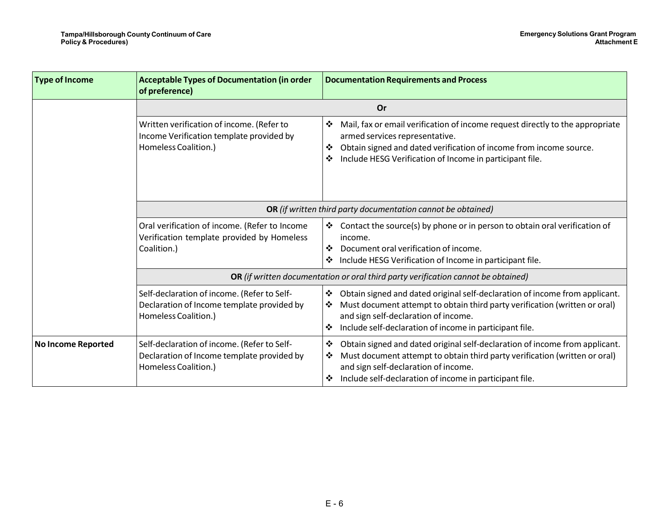| <b>Type of Income</b>     | <b>Acceptable Types of Documentation (in order</b><br>of preference)                                              | <b>Documentation Requirements and Process</b>                                                                                                                                                                                                                               |
|---------------------------|-------------------------------------------------------------------------------------------------------------------|-----------------------------------------------------------------------------------------------------------------------------------------------------------------------------------------------------------------------------------------------------------------------------|
|                           |                                                                                                                   | Or                                                                                                                                                                                                                                                                          |
|                           | Written verification of income. (Refer to<br>Income Verification template provided by<br>Homeless Coalition.)     | Mail, fax or email verification of income request directly to the appropriate<br>❖<br>armed services representative.<br>Obtain signed and dated verification of income from income source.<br>❖<br>Include HESG Verification of Income in participant file.<br>❖            |
|                           | OR (if written third party documentation cannot be obtained)                                                      |                                                                                                                                                                                                                                                                             |
|                           | Oral verification of income. (Refer to Income<br>Verification template provided by Homeless<br>Coalition.)        | Contact the source(s) by phone or in person to obtain oral verification of<br>income.<br>Document oral verification of income.<br>❖<br>Include HESG Verification of Income in participant file.<br>❖                                                                        |
|                           | OR (if written documentation or oral third party verification cannot be obtained)                                 |                                                                                                                                                                                                                                                                             |
|                           | Self-declaration of income. (Refer to Self-<br>Declaration of Income template provided by<br>Homeless Coalition.) | Obtain signed and dated original self-declaration of income from applicant.<br>❖<br>Must document attempt to obtain third party verification (written or oral)<br>❖<br>and sign self-declaration of income.<br>Include self-declaration of income in participant file.<br>❖ |
| <b>No Income Reported</b> | Self-declaration of income. (Refer to Self-<br>Declaration of Income template provided by<br>Homeless Coalition.) | Obtain signed and dated original self-declaration of income from applicant.<br>❖<br>Must document attempt to obtain third party verification (written or oral)<br>❖<br>and sign self-declaration of income.<br>Include self-declaration of income in participant file.<br>❖ |